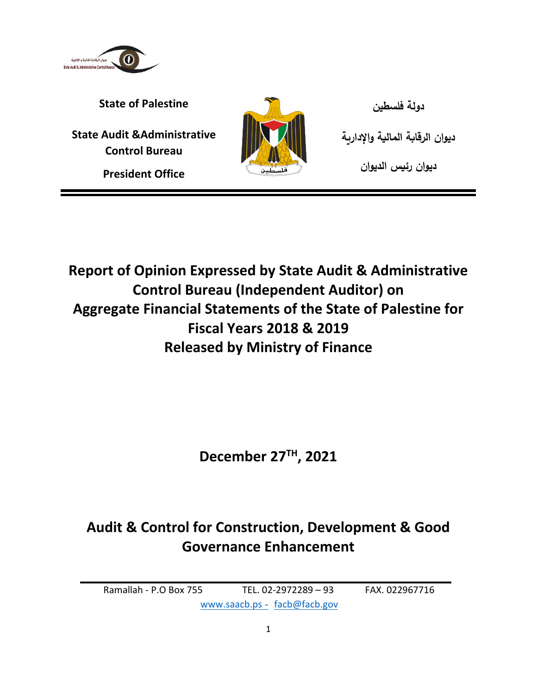

**State of Palestine فلسطين دولة**

**State Audit &Administrative Control Bureau**

**President Office**



**ديوان الرقابة المالية واإلدارية ديوان رئيس الديوان**

**Report of Opinion Expressed by State Audit & Administrative Control Bureau (Independent Auditor) on Aggregate Financial Statements of the State of Palestine for Fiscal Years 2018 & 2019 Released by Ministry of Finance**

**December 27TH , 2021**

# **Audit & Control for Construction, Development & Good Governance Enhancement**

Ramallah - P.O Box 755 TEL. 02-2972289 – 93 FAX. 022967716 www.saacb.ps - [facb@facb.gov](mailto:facb@facb.gov)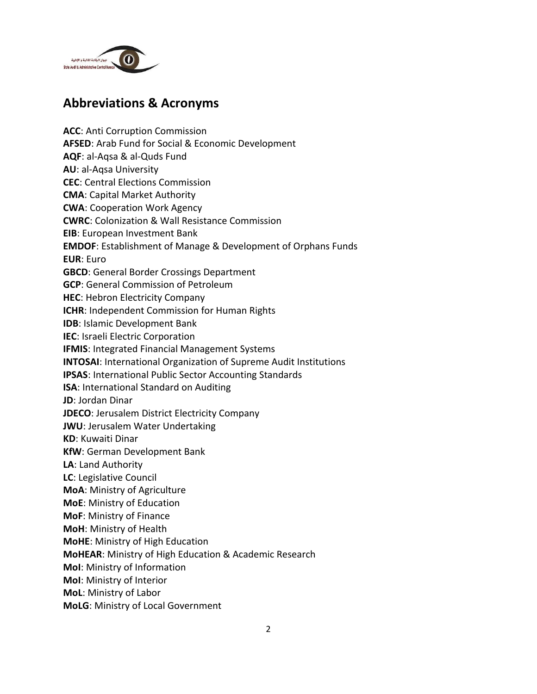

## **Abbreviations & Acronyms**

**ACC**: Anti Corruption Commission **AFSED**: Arab Fund for Social & Economic Development **AQF**: al-Aqsa & al-Quds Fund **AU**: al-Aqsa University **CEC**: Central Elections Commission **CMA**: Capital Market Authority **CWA**: Cooperation Work Agency **CWRC**: Colonization & Wall Resistance Commission **EIB**: European Investment Bank **EMDOF**: Establishment of Manage & Development of Orphans Funds **EUR**: Euro **GBCD**: General Border Crossings Department **GCP**: General Commission of Petroleum **HEC**: Hebron Electricity Company **ICHR**: Independent Commission for Human Rights **IDB**: Islamic Development Bank **IEC**: Israeli Electric Corporation **IFMIS**: Integrated Financial Management Systems **INTOSAI**: International Organization of Supreme Audit Institutions **IPSAS**: International Public Sector Accounting Standards **ISA**: International Standard on Auditing **JD**: Jordan Dinar **JDECO**: Jerusalem District Electricity Company **JWU**: Jerusalem Water Undertaking **KD**: Kuwaiti Dinar **KfW**: German Development Bank **LA**: Land Authority **LC**: Legislative Council **MoA**: Ministry of Agriculture **MoE**: Ministry of Education **MoF**: Ministry of Finance **MoH**: Ministry of Health **MoHE**: Ministry of High Education **MoHEAR**: Ministry of High Education & Academic Research **MoI**: Ministry of Information **MoI**: Ministry of Interior **MoL**: Ministry of Labor **MoLG**: Ministry of Local Government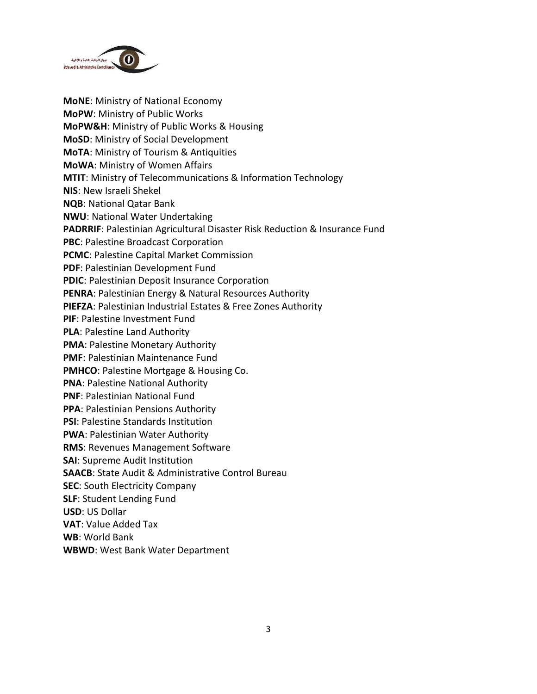

**MoNE**: Ministry of National Economy **MoPW**: Ministry of Public Works **MoPW&H**: Ministry of Public Works & Housing **MoSD**: Ministry of Social Development **MoTA**: Ministry of Tourism & Antiquities **MoWA**: Ministry of Women Affairs **MTIT**: Ministry of Telecommunications & Information Technology **NIS**: New Israeli Shekel **NQB**: National Qatar Bank **NWU**: National Water Undertaking **PADRRIF**: Palestinian Agricultural Disaster Risk Reduction & Insurance Fund **PBC**: Palestine Broadcast Corporation **PCMC**: Palestine Capital Market Commission **PDF**: Palestinian Development Fund **PDIC**: Palestinian Deposit Insurance Corporation **PENRA**: Palestinian Energy & Natural Resources Authority **PIEFZA**: Palestinian Industrial Estates & Free Zones Authority **PIF**: Palestine Investment Fund **PLA**: Palestine Land Authority **PMA**: Palestine Monetary Authority **PMF**: Palestinian Maintenance Fund **PMHCO**: Palestine Mortgage & Housing Co. **PNA**: Palestine National Authority **PNF**: Palestinian National Fund **PPA**: Palestinian Pensions Authority **PSI**: Palestine Standards Institution **PWA**: Palestinian Water Authority **RMS**: Revenues Management Software **SAI**: Supreme Audit Institution **SAACB**: State Audit & Administrative Control Bureau **SEC**: South Electricity Company **SLF**: Student Lending Fund **USD**: US Dollar **VAT**: Value Added Tax **WB**: World Bank **WBWD**: West Bank Water Department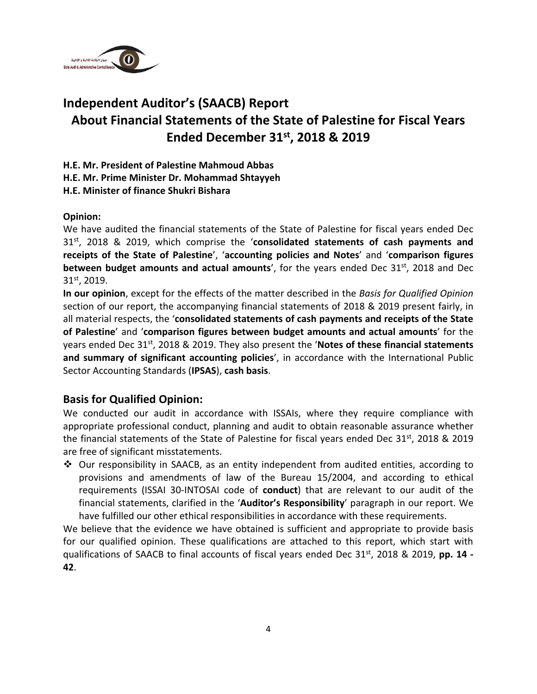

## **Independent Auditor's (SAACB) Report About Financial Statements of the State of Palestine for Fiscal Years Ended December 31st, 2018 & 2019**

**H.E. Mr. President of Palestine Mahmoud Abbas**

**H.E. Mr. Prime Minister Dr. Mohammad Shtayyeh**

**H.E. Minister of finance Shukri Bishara**

#### **Opinion:**

We have audited the financial statements of the State of Palestine for fiscal years ended Dec 31st, 2018 & 2019, which comprise the '**consolidated statements of cash payments and receipts of the State of Palestine**', '**accounting policies and Notes**' and '**comparison figures between budget amounts and actual amounts', for the years ended Dec 31st, 2018 and Dec** 31st, 2019.

**In our opinion**, except for the effects of the matter described in the *Basis for Qualified Opinion* section of our report, the accompanying financial statements of 2018 & 2019 present fairly, in all material respects, the '**consolidated statements of cash payments and receipts of the State of Palestine**' and '**comparison figures between budget amounts and actual amounts**' for the years ended Dec 31st , 2018 & 2019. They also present the '**Notes of these financial statements and summary of significant accounting policies**', in accordance with the International Public Sector Accounting Standards (**IPSAS**), **cash basis**.

#### **Basis for Qualified Opinion:**

We conducted our audit in accordance with ISSAIs, where they require compliance with appropriate professional conduct, planning and audit to obtain reasonable assurance whether the financial statements of the State of Palestine for fiscal years ended Dec 31<sup>st</sup>, 2018 & 2019 are free of significant misstatements.

❖ Our responsibility in SAACB, as an entity independent from audited entities, according to provisions and amendments of law of the Bureau 15/2004, and according to ethical requirements (ISSAI 30-INTOSAI code of **conduct**) that are relevant to our audit of the financial statements, clarified in the '**Auditor's Responsibility**' paragraph in our report. We have fulfilled our other ethical responsibilities in accordance with these requirements.

We believe that the evidence we have obtained is sufficient and appropriate to provide basis for our qualified opinion. These qualifications are attached to this report, which start with qualifications of SAACB to final accounts of fiscal years ended Dec 31<sup>st</sup>, 2018 & 2019, pp. 14 -**42**.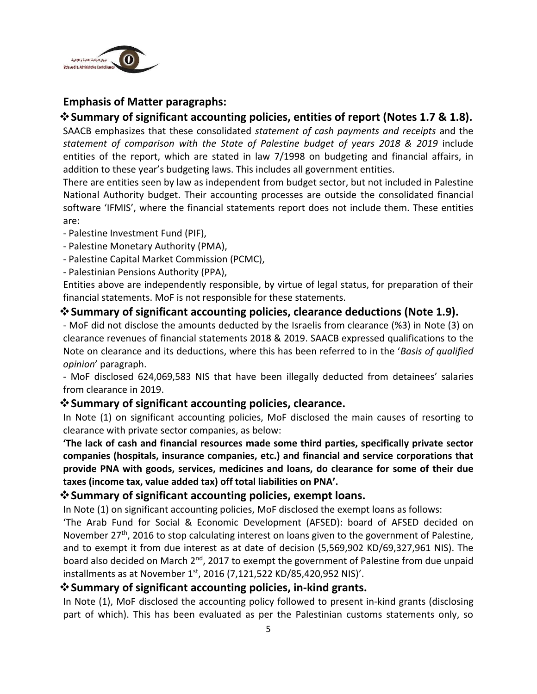

#### **Emphasis of Matter paragraphs:**

#### ❖**Summary of significant accounting policies, entities of report (Notes 1.7 & 1.8).**

SAACB emphasizes that these consolidated *statement of cash payments and receipts* and the *statement of comparison with the State of Palestine budget of years 2018 & 2019* include entities of the report, which are stated in law 7/1998 on budgeting and financial affairs, in addition to these year's budgeting laws. This includes all government entities.

There are entities seen by law as independent from budget sector, but not included in Palestine National Authority budget. Their accounting processes are outside the consolidated financial software 'IFMIS', where the financial statements report does not include them. These entities are:

- Palestine Investment Fund (PIF),
- Palestine Monetary Authority (PMA),
- Palestine Capital Market Commission (PCMC),
- Palestinian Pensions Authority (PPA),

Entities above are independently responsible, by virtue of legal status, for preparation of their financial statements. MoF is not responsible for these statements.

#### ❖**Summary of significant accounting policies, clearance deductions (Note 1.9).**

- MoF did not disclose the amounts deducted by the Israelis from clearance (%3) in Note (3) on clearance revenues of financial statements 2018 & 2019. SAACB expressed qualifications to the Note on clearance and its deductions, where this has been referred to in the '*Basis of qualified opinion*' paragraph.

- MoF disclosed 624,069,583 NIS that have been illegally deducted from detainees' salaries from clearance in 2019.

#### ❖**Summary of significant accounting policies, clearance.**

In Note (1) on significant accounting policies, MoF disclosed the main causes of resorting to clearance with private sector companies, as below:

**'The lack of cash and financial resources made some third parties, specifically private sector companies (hospitals, insurance companies, etc.) and financial and service corporations that provide PNA with goods, services, medicines and loans, do clearance for some of their due taxes (income tax, value added tax) off total liabilities on PNA'.**

#### ❖**Summary of significant accounting policies, exempt loans.**

In Note (1) on significant accounting policies, MoF disclosed the exempt loans as follows:

'The Arab Fund for Social & Economic Development (AFSED): board of AFSED decided on November 27<sup>th</sup>, 2016 to stop calculating interest on loans given to the government of Palestine, and to exempt it from due interest as at date of decision (5,569,902 KD/69,327,961 NIS). The board also decided on March 2<sup>nd</sup>, 2017 to exempt the government of Palestine from due unpaid installments as at November 1<sup>st</sup>, 2016 (7,121,522 KD/85,420,952 NIS)'.

#### ❖**Summary of significant accounting policies, in-kind grants.**

In Note (1), MoF disclosed the accounting policy followed to present in-kind grants (disclosing part of which). This has been evaluated as per the Palestinian customs statements only, so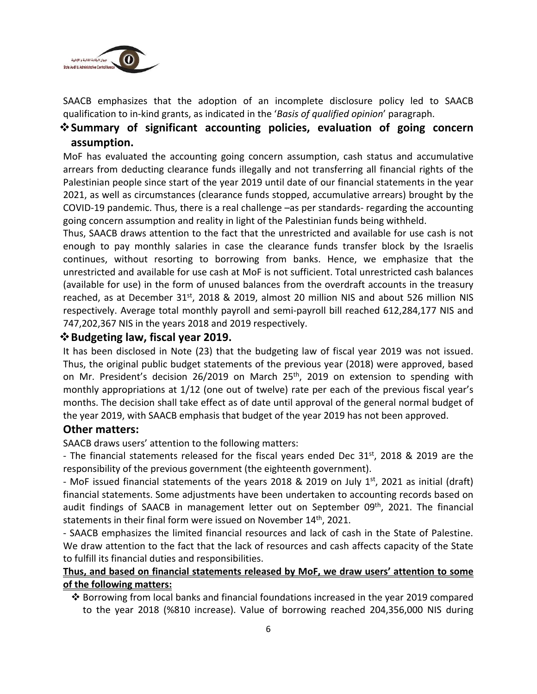

SAACB emphasizes that the adoption of an incomplete disclosure policy led to SAACB qualification to in-kind grants, as indicated in the '*Basis of qualified opinion*' paragraph.

## ❖**Summary of significant accounting policies, evaluation of going concern assumption.**

MoF has evaluated the accounting going concern assumption, cash status and accumulative arrears from deducting clearance funds illegally and not transferring all financial rights of the Palestinian people since start of the year 2019 until date of our financial statements in the year 2021, as well as circumstances (clearance funds stopped, accumulative arrears) brought by the COVID-19 pandemic. Thus, there is a real challenge –as per standards- regarding the accounting going concern assumption and reality in light of the Palestinian funds being withheld.

Thus, SAACB draws attention to the fact that the unrestricted and available for use cash is not enough to pay monthly salaries in case the clearance funds transfer block by the Israelis continues, without resorting to borrowing from banks. Hence, we emphasize that the unrestricted and available for use cash at MoF is not sufficient. Total unrestricted cash balances (available for use) in the form of unused balances from the overdraft accounts in the treasury reached, as at December  $31^{st}$ , 2018 & 2019, almost 20 million NIS and about 526 million NIS respectively. Average total monthly payroll and semi-payroll bill reached 612,284,177 NIS and 747,202,367 NIS in the years 2018 and 2019 respectively.

#### ❖**Budgeting law, fiscal year 2019.**

It has been disclosed in Note (23) that the budgeting law of fiscal year 2019 was not issued. Thus, the original public budget statements of the previous year (2018) were approved, based on Mr. President's decision 26/2019 on March 25<sup>th</sup>, 2019 on extension to spending with monthly appropriations at 1/12 (one out of twelve) rate per each of the previous fiscal year's months. The decision shall take effect as of date until approval of the general normal budget of the year 2019, with SAACB emphasis that budget of the year 2019 has not been approved.

#### **Other matters:**

SAACB draws users' attention to the following matters:

- The financial statements released for the fiscal years ended Dec 31<sup>st</sup>, 2018 & 2019 are the responsibility of the previous government (the eighteenth government).

- MoF issued financial statements of the years 2018 & 2019 on July 1<sup>st</sup>, 2021 as initial (draft) financial statements. Some adjustments have been undertaken to accounting records based on audit findings of SAACB in management letter out on September 09<sup>th</sup>, 2021. The financial statements in their final form were issued on November 14<sup>th</sup>, 2021.

- SAACB emphasizes the limited financial resources and lack of cash in the State of Palestine. We draw attention to the fact that the lack of resources and cash affects capacity of the State to fulfill its financial duties and responsibilities.

#### **Thus, and based on financial statements released by MoF, we draw users' attention to some of the following matters:**

❖ Borrowing from local banks and financial foundations increased in the year 2019 compared to the year 2018 (%810 increase). Value of borrowing reached 204,356,000 NIS during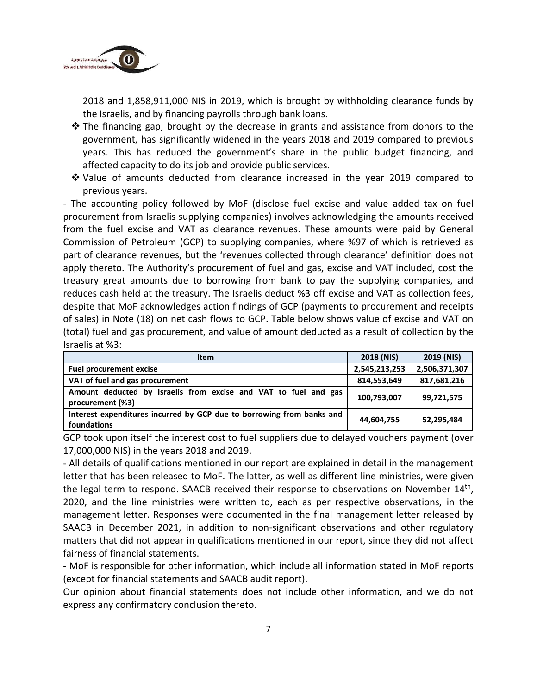

2018 and 1,858,911,000 NIS in 2019, which is brought by withholding clearance funds by the Israelis, and by financing payrolls through bank loans.

- ❖ The financing gap, brought by the decrease in grants and assistance from donors to the government, has significantly widened in the years 2018 and 2019 compared to previous years. This has reduced the government's share in the public budget financing, and affected capacity to do its job and provide public services.
- ❖ Value of amounts deducted from clearance increased in the year 2019 compared to previous years.

- The accounting policy followed by MoF (disclose fuel excise and value added tax on fuel procurement from Israelis supplying companies) involves acknowledging the amounts received from the fuel excise and VAT as clearance revenues. These amounts were paid by General Commission of Petroleum (GCP) to supplying companies, where %97 of which is retrieved as part of clearance revenues, but the 'revenues collected through clearance' definition does not apply thereto. The Authority's procurement of fuel and gas, excise and VAT included, cost the treasury great amounts due to borrowing from bank to pay the supplying companies, and reduces cash held at the treasury. The Israelis deduct %3 off excise and VAT as collection fees, despite that MoF acknowledges action findings of GCP (payments to procurement and receipts of sales) in Note (18) on net cash flows to GCP. Table below shows value of excise and VAT on (total) fuel and gas procurement, and value of amount deducted as a result of collection by the Israelis at %3:

| <b>Item</b>                                                                          | 2018 (NIS)    | 2019 (NIS)    |
|--------------------------------------------------------------------------------------|---------------|---------------|
| <b>Fuel procurement excise</b>                                                       | 2,545,213,253 | 2,506,371,307 |
| VAT of fuel and gas procurement                                                      | 814,553,649   | 817,681,216   |
| Amount deducted by Israelis from excise and VAT to fuel and gas<br>procurement (%3)  | 100,793,007   | 99,721,575    |
| Interest expenditures incurred by GCP due to borrowing from banks and<br>foundations | 44,604,755    | 52,295,484    |

GCP took upon itself the interest cost to fuel suppliers due to delayed vouchers payment (over 17,000,000 NIS) in the years 2018 and 2019.

- All details of qualifications mentioned in our report are explained in detail in the management letter that has been released to MoF. The latter, as well as different line ministries, were given the legal term to respond. SAACB received their response to observations on November 14<sup>th</sup>, 2020, and the line ministries were written to, each as per respective observations, in the management letter. Responses were documented in the final management letter released by SAACB in December 2021, in addition to non-significant observations and other regulatory matters that did not appear in qualifications mentioned in our report, since they did not affect fairness of financial statements.

- MoF is responsible for other information, which include all information stated in MoF reports (except for financial statements and SAACB audit report).

Our opinion about financial statements does not include other information, and we do not express any confirmatory conclusion thereto.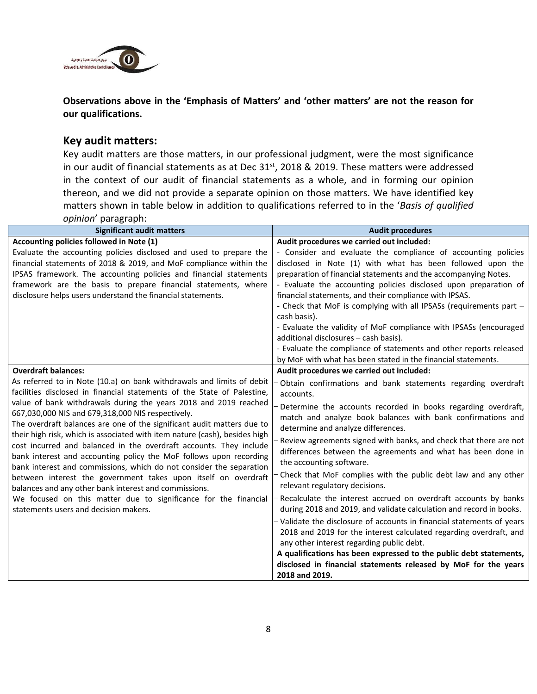

#### **Observations above in the 'Emphasis of Matters' and 'other matters' are not the reason for our qualifications.**

#### **Key audit matters:**

Key audit matters are those matters, in our professional judgment, were the most significance in our audit of financial statements as at Dec  $31<sup>st</sup>$ , 2018 & 2019. These matters were addressed in the context of our audit of financial statements as a whole, and in forming our opinion thereon, and we did not provide a separate opinion on those matters. We have identified key matters shown in table below in addition to qualifications referred to in the '*Basis of qualified opinion*' paragraph:

| <b>Significant audit matters</b>                                                                                                                                                                                                                                                                                                                                                                                                                                                                                                                                                                                                                                                                                                                                                                                                                                                                                          | <b>Audit procedures</b>                                                                                                                                                                                                                                                                                                                                                                                                                                                                                                                                                                                                                                                                                                                                                                                                                                                                                                                                                                                                                                             |
|---------------------------------------------------------------------------------------------------------------------------------------------------------------------------------------------------------------------------------------------------------------------------------------------------------------------------------------------------------------------------------------------------------------------------------------------------------------------------------------------------------------------------------------------------------------------------------------------------------------------------------------------------------------------------------------------------------------------------------------------------------------------------------------------------------------------------------------------------------------------------------------------------------------------------|---------------------------------------------------------------------------------------------------------------------------------------------------------------------------------------------------------------------------------------------------------------------------------------------------------------------------------------------------------------------------------------------------------------------------------------------------------------------------------------------------------------------------------------------------------------------------------------------------------------------------------------------------------------------------------------------------------------------------------------------------------------------------------------------------------------------------------------------------------------------------------------------------------------------------------------------------------------------------------------------------------------------------------------------------------------------|
| Accounting policies followed in Note (1)<br>Evaluate the accounting policies disclosed and used to prepare the<br>financial statements of 2018 & 2019, and MoF compliance within the<br>IPSAS framework. The accounting policies and financial statements<br>framework are the basis to prepare financial statements, where<br>disclosure helps users understand the financial statements.                                                                                                                                                                                                                                                                                                                                                                                                                                                                                                                                | Audit procedures we carried out included:<br>- Consider and evaluate the compliance of accounting policies<br>disclosed in Note (1) with what has been followed upon the<br>preparation of financial statements and the accompanying Notes.<br>- Evaluate the accounting policies disclosed upon preparation of<br>financial statements, and their compliance with IPSAS.<br>- Check that MoF is complying with all IPSASs (requirements part -<br>cash basis).<br>- Evaluate the validity of MoF compliance with IPSASs (encouraged<br>additional disclosures - cash basis).<br>- Evaluate the compliance of statements and other reports released<br>by MoF with what has been stated in the financial statements.                                                                                                                                                                                                                                                                                                                                                |
| <b>Overdraft balances:</b><br>As referred to in Note (10.a) on bank withdrawals and limits of debit<br>facilities disclosed in financial statements of the State of Palestine,<br>value of bank withdrawals during the years 2018 and 2019 reached<br>667,030,000 NIS and 679,318,000 NIS respectively.<br>The overdraft balances are one of the significant audit matters due to<br>their high risk, which is associated with item nature (cash), besides high<br>cost incurred and balanced in the overdraft accounts. They include<br>bank interest and accounting policy the MoF follows upon recording<br>bank interest and commissions, which do not consider the separation<br>between interest the government takes upon itself on overdraft<br>balances and any other bank interest and commissions.<br>We focused on this matter due to significance for the financial<br>statements users and decision makers. | Audit procedures we carried out included:<br>Obtain confirmations and bank statements regarding overdraft<br>accounts.<br>Determine the accounts recorded in books regarding overdraft,<br>match and analyze book balances with bank confirmations and<br>determine and analyze differences.<br>Review agreements signed with banks, and check that there are not<br>differences between the agreements and what has been done in<br>the accounting software.<br>Check that MoF complies with the public debt law and any other<br>relevant regulatory decisions.<br>Recalculate the interest accrued on overdraft accounts by banks<br>during 2018 and 2019, and validate calculation and record in books.<br>- Validate the disclosure of accounts in financial statements of years<br>2018 and 2019 for the interest calculated regarding overdraft, and<br>any other interest regarding public debt.<br>A qualifications has been expressed to the public debt statements,<br>disclosed in financial statements released by MoF for the years<br>2018 and 2019. |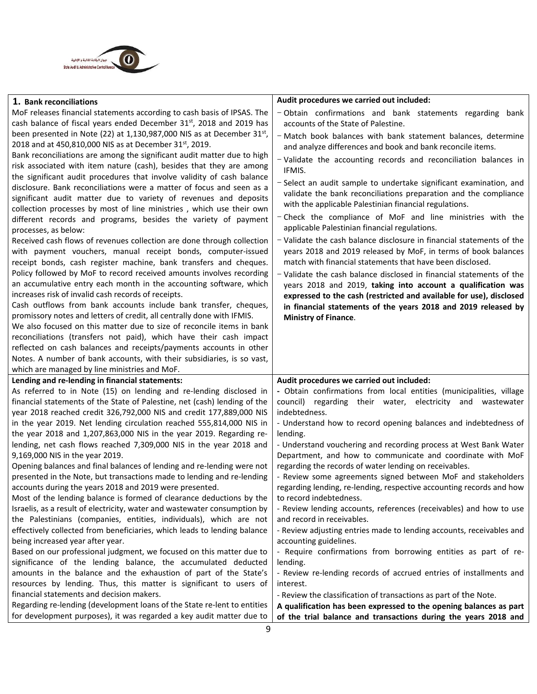

| 1. Bank reconciliations                                                                                                                         | Audit procedures we carried out included:                             |
|-------------------------------------------------------------------------------------------------------------------------------------------------|-----------------------------------------------------------------------|
| MoF releases financial statements according to cash basis of IPSAS. The                                                                         | - Obtain confirmations and bank statements regarding bank             |
| cash balance of fiscal years ended December 31 <sup>st</sup> , 2018 and 2019 has                                                                | accounts of the State of Palestine.                                   |
| been presented in Note (22) at 1,130,987,000 NIS as at December $31st$ ,                                                                        | - Match book balances with bank statement balances, determine         |
| 2018 and at 450,810,000 NIS as at December 31 <sup>st</sup> , 2019.                                                                             | and analyze differences and book and bank reconcile items.            |
| Bank reconciliations are among the significant audit matter due to high                                                                         | - Validate the accounting records and reconciliation balances in      |
| risk associated with item nature (cash), besides that they are among                                                                            | IFMIS.                                                                |
| the significant audit procedures that involve validity of cash balance                                                                          | - Select an audit sample to undertake significant examination, and    |
| disclosure. Bank reconciliations were a matter of focus and seen as a                                                                           | validate the bank reconciliations preparation and the compliance      |
| significant audit matter due to variety of revenues and deposits                                                                                | with the applicable Palestinian financial regulations.                |
| collection processes by most of line ministries, which use their own                                                                            |                                                                       |
| different records and programs, besides the variety of payment                                                                                  | - Check the compliance of MoF and line ministries with the            |
| processes, as below:                                                                                                                            | applicable Palestinian financial regulations.                         |
| Received cash flows of revenues collection are done through collection                                                                          | - Validate the cash balance disclosure in financial statements of the |
| with payment vouchers, manual receipt bonds, computer-issued                                                                                    | years 2018 and 2019 released by MoF, in terms of book balances        |
| receipt bonds, cash register machine, bank transfers and cheques.                                                                               | match with financial statements that have been disclosed.             |
| Policy followed by MoF to record received amounts involves recording                                                                            | - Validate the cash balance disclosed in financial statements of the  |
| an accumulative entry each month in the accounting software, which                                                                              | years 2018 and 2019, taking into account a qualification was          |
| increases risk of invalid cash records of receipts.                                                                                             | expressed to the cash (restricted and available for use), disclosed   |
| Cash outflows from bank accounts include bank transfer, cheques,                                                                                | in financial statements of the years 2018 and 2019 released by        |
| promissory notes and letters of credit, all centrally done with IFMIS.<br>We also focused on this matter due to size of reconcile items in bank | <b>Ministry of Finance.</b>                                           |
| reconciliations (transfers not paid), which have their cash impact                                                                              |                                                                       |
| reflected on cash balances and receipts/payments accounts in other                                                                              |                                                                       |
| Notes. A number of bank accounts, with their subsidiaries, is so vast,                                                                          |                                                                       |
| which are managed by line ministries and MoF.                                                                                                   |                                                                       |
| Lending and re-lending in financial statements:                                                                                                 | Audit procedures we carried out included:                             |
| As referred to in Note (15) on lending and re-lending disclosed in                                                                              | - Obtain confirmations from local entities (municipalities, village   |
| financial statements of the State of Palestine, net (cash) lending of the                                                                       | council) regarding their water, electricity and wastewater            |
| year 2018 reached credit 326,792,000 NIS and credit 177,889,000 NIS                                                                             | indebtedness.                                                         |
| in the year 2019. Net lending circulation reached 555,814,000 NIS in                                                                            | - Understand how to record opening balances and indebtedness of       |
| the year 2018 and 1,207,863,000 NIS in the year 2019. Regarding re-                                                                             | lending.                                                              |
| lending, net cash flows reached 7,309,000 NIS in the year 2018 and                                                                              | - Understand vouchering and recording process at West Bank Water      |
| 9,169,000 NIS in the year 2019.                                                                                                                 | Department, and how to communicate and coordinate with MoF            |
| Opening balances and final balances of lending and re-lending were not                                                                          | regarding the records of water lending on receivables.                |
| presented in the Note, but transactions made to lending and re-lending                                                                          | - Review some agreements signed between MoF and stakeholders          |
| accounts during the years 2018 and 2019 were presented.                                                                                         | regarding lending, re-lending, respective accounting records and how  |
| Most of the lending balance is formed of clearance deductions by the                                                                            | to record indebtedness.                                               |
| Israelis, as a result of electricity, water and wastewater consumption by                                                                       | - Review lending accounts, references (receivables) and how to use    |
| the Palestinians (companies, entities, individuals), which are not                                                                              | and record in receivables.                                            |
| effectively collected from beneficiaries, which leads to lending balance                                                                        | - Review adjusting entries made to lending accounts, receivables and  |
| being increased year after year.                                                                                                                | accounting guidelines.                                                |
| Based on our professional judgment, we focused on this matter due to                                                                            | - Require confirmations from borrowing entities as part of re-        |
| significance of the lending balance, the accumulated deducted                                                                                   | lending.                                                              |
| amounts in the balance and the exhaustion of part of the State's                                                                                | - Review re-lending records of accrued entries of installments and    |
| resources by lending. Thus, this matter is significant to users of                                                                              | interest.                                                             |
| financial statements and decision makers.                                                                                                       | - Review the classification of transactions as part of the Note.      |
| Regarding re-lending (development loans of the State re-lent to entities                                                                        | A qualification has been expressed to the opening balances as part    |
| for development purposes), it was regarded a key audit matter due to                                                                            | of the trial balance and transactions during the years 2018 and       |
|                                                                                                                                                 |                                                                       |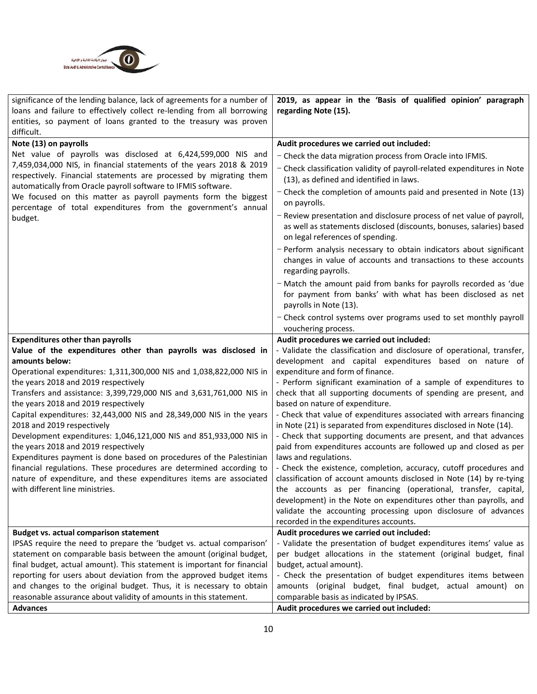

| significance of the lending balance, lack of agreements for a number of                                                         | 2019, as appear in the 'Basis of qualified opinion' paragraph                                                                           |
|---------------------------------------------------------------------------------------------------------------------------------|-----------------------------------------------------------------------------------------------------------------------------------------|
| loans and failure to effectively collect re-lending from all borrowing                                                          | regarding Note (15).                                                                                                                    |
| entities, so payment of loans granted to the treasury was proven                                                                |                                                                                                                                         |
| difficult.                                                                                                                      |                                                                                                                                         |
| Note (13) on payrolls                                                                                                           | Audit procedures we carried out included:                                                                                               |
| Net value of payrolls was disclosed at 6,424,599,000 NIS and                                                                    | - Check the data migration process from Oracle into IFMIS.                                                                              |
| 7,459,034,000 NIS, in financial statements of the years 2018 & 2019                                                             | - Check classification validity of payroll-related expenditures in Note                                                                 |
| respectively. Financial statements are processed by migrating them                                                              | (13), as defined and identified in laws.                                                                                                |
| automatically from Oracle payroll software to IFMIS software.<br>We focused on this matter as payroll payments form the biggest | - Check the completion of amounts paid and presented in Note (13)                                                                       |
| percentage of total expenditures from the government's annual                                                                   | on payrolls.                                                                                                                            |
| budget.                                                                                                                         | - Review presentation and disclosure process of net value of payroll,                                                                   |
|                                                                                                                                 | as well as statements disclosed (discounts, bonuses, salaries) based                                                                    |
|                                                                                                                                 | on legal references of spending.                                                                                                        |
|                                                                                                                                 | - Perform analysis necessary to obtain indicators about significant                                                                     |
|                                                                                                                                 | changes in value of accounts and transactions to these accounts                                                                         |
|                                                                                                                                 | regarding payrolls.                                                                                                                     |
|                                                                                                                                 | - Match the amount paid from banks for payrolls recorded as 'due                                                                        |
|                                                                                                                                 | for payment from banks' with what has been disclosed as net                                                                             |
|                                                                                                                                 | payrolls in Note (13).                                                                                                                  |
|                                                                                                                                 | - Check control systems over programs used to set monthly payroll                                                                       |
|                                                                                                                                 | vouchering process.                                                                                                                     |
| <b>Expenditures other than payrolls</b>                                                                                         | Audit procedures we carried out included:                                                                                               |
| Value of the expenditures other than payrolls was disclosed in                                                                  | - Validate the classification and disclosure of operational, transfer,                                                                  |
| amounts below:                                                                                                                  | development and capital expenditures based on nature of                                                                                 |
| Operational expenditures: 1,311,300,000 NIS and 1,038,822,000 NIS in                                                            | expenditure and form of finance.                                                                                                        |
| the years 2018 and 2019 respectively                                                                                            | - Perform significant examination of a sample of expenditures to                                                                        |
| Transfers and assistance: 3,399,729,000 NIS and 3,631,761,000 NIS in                                                            | check that all supporting documents of spending are present, and                                                                        |
| the years 2018 and 2019 respectively                                                                                            | based on nature of expenditure.                                                                                                         |
| Capital expenditures: 32,443,000 NIS and 28,349,000 NIS in the years                                                            | - Check that value of expenditures associated with arrears financing                                                                    |
| 2018 and 2019 respectively<br>Development expenditures: 1,046,121,000 NIS and 851,933,000 NIS in                                | in Note (21) is separated from expenditures disclosed in Note (14).<br>- Check that supporting documents are present, and that advances |
| the years 2018 and 2019 respectively                                                                                            | paid from expenditures accounts are followed up and closed as per                                                                       |
| Expenditures payment is done based on procedures of the Palestinian                                                             | laws and regulations.                                                                                                                   |
| financial regulations. These procedures are determined according to                                                             | - Check the existence, completion, accuracy, cutoff procedures and                                                                      |
| nature of expenditure, and these expenditures items are associated                                                              | classification of account amounts disclosed in Note (14) by re-tying                                                                    |
| with different line ministries.                                                                                                 | the accounts as per financing (operational, transfer, capital,                                                                          |
|                                                                                                                                 | development) in the Note on expenditures other than payrolls, and                                                                       |
|                                                                                                                                 | validate the accounting processing upon disclosure of advances                                                                          |
|                                                                                                                                 | recorded in the expenditures accounts.                                                                                                  |
| <b>Budget vs. actual comparison statement</b>                                                                                   | Audit procedures we carried out included:                                                                                               |
| IPSAS require the need to prepare the 'budget vs. actual comparison'                                                            | - Validate the presentation of budget expenditures items' value as                                                                      |
| statement on comparable basis between the amount (original budget,                                                              | per budget allocations in the statement (original budget, final                                                                         |
| final budget, actual amount). This statement is important for financial                                                         | budget, actual amount).                                                                                                                 |
| reporting for users about deviation from the approved budget items                                                              | - Check the presentation of budget expenditures items between                                                                           |
| and changes to the original budget. Thus, it is necessary to obtain                                                             | amounts (original budget, final budget, actual amount) on                                                                               |
| reasonable assurance about validity of amounts in this statement.                                                               | comparable basis as indicated by IPSAS.                                                                                                 |
| <b>Advances</b>                                                                                                                 | Audit procedures we carried out included:                                                                                               |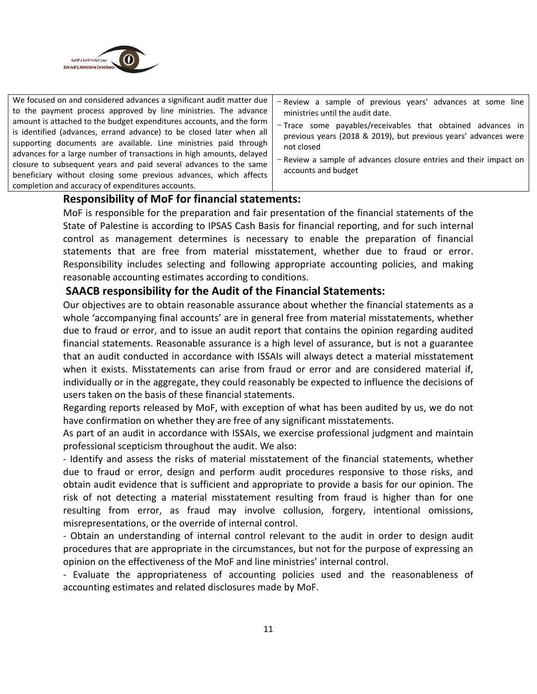

#### **Responsibility of MoF for financial statements:**

MoF is responsible for the preparation and fair presentation of the financial statements of the State of Palestine is according to IPSAS Cash Basis for financial reporting, and for such internal control as management determines is necessary to enable the preparation of financial statements that are free from material misstatement, whether due to fraud or error. Responsibility includes selecting and following appropriate accounting policies, and making reasonable accounting estimates according to conditions.

#### **SAACB responsibility for the Audit of the Financial Statements:**

Our objectives are to obtain reasonable assurance about whether the financial statements as a whole 'accompanying final accounts' are in general free from material misstatements, whether due to fraud or error, and to issue an audit report that contains the opinion regarding audited financial statements. Reasonable assurance is a high level of assurance, but is not a guarantee that an audit conducted in accordance with ISSAIs will always detect a material misstatement when it exists. Misstatements can arise from fraud or error and are considered material if, individually or in the aggregate, they could reasonably be expected to influence the decisions of users taken on the basis of these financial statements.

Regarding reports released by MoF, with exception of what has been audited by us, we do not have confirmation on whether they are free of any significant misstatements.

As part of an audit in accordance with ISSAIs, we exercise professional judgment and maintain professional scepticism throughout the audit. We also:

- Identify and assess the risks of material misstatement of the financial statements, whether due to fraud or error, design and perform audit procedures responsive to those risks, and obtain audit evidence that is sufficient and appropriate to provide a basis for our opinion. The risk of not detecting a material misstatement resulting from fraud is higher than for one resulting from error, as fraud may involve collusion, forgery, intentional omissions, misrepresentations, or the override of internal control.

- Obtain an understanding of internal control relevant to the audit in order to design audit procedures that are appropriate in the circumstances, but not for the purpose of expressing an opinion on the effectiveness of the MoF and line ministries' internal control.

- Evaluate the appropriateness of accounting policies used and the reasonableness of accounting estimates and related disclosures made by MoF.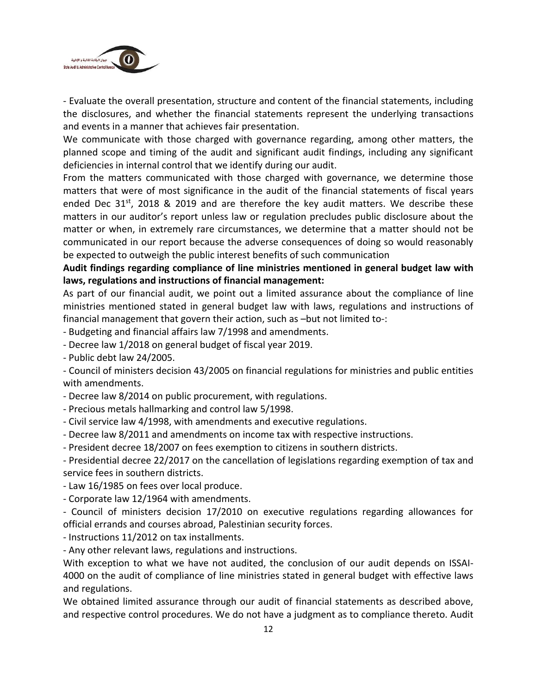

- Evaluate the overall presentation, structure and content of the financial statements, including the disclosures, and whether the financial statements represent the underlying transactions and events in a manner that achieves fair presentation.

We communicate with those charged with governance regarding, among other matters, the planned scope and timing of the audit and significant audit findings, including any significant deficiencies in internal control that we identify during our audit.

From the matters communicated with those charged with governance, we determine those matters that were of most significance in the audit of the financial statements of fiscal years ended Dec 31<sup>st</sup>, 2018 & 2019 and are therefore the key audit matters. We describe these matters in our auditor's report unless law or regulation precludes public disclosure about the matter or when, in extremely rare circumstances, we determine that a matter should not be communicated in our report because the adverse consequences of doing so would reasonably be expected to outweigh the public interest benefits of such communication

#### **Audit findings regarding compliance of line ministries mentioned in general budget law with laws, regulations and instructions of financial management:**

As part of our financial audit, we point out a limited assurance about the compliance of line ministries mentioned stated in general budget law with laws, regulations and instructions of financial management that govern their action, such as –but not limited to-:

- Budgeting and financial affairs law 7/1998 and amendments.
- Decree law 1/2018 on general budget of fiscal year 2019.
- Public debt law 24/2005.

- Council of ministers decision 43/2005 on financial regulations for ministries and public entities with amendments.

- Decree law 8/2014 on public procurement, with regulations.
- Precious metals hallmarking and control law 5/1998.
- Civil service law 4/1998, with amendments and executive regulations.
- Decree law 8/2011 and amendments on income tax with respective instructions.
- President decree 18/2007 on fees exemption to citizens in southern districts.

- Presidential decree 22/2017 on the cancellation of legislations regarding exemption of tax and service fees in southern districts.

- Law 16/1985 on fees over local produce.
- Corporate law 12/1964 with amendments.

- Council of ministers decision 17/2010 on executive regulations regarding allowances for official errands and courses abroad, Palestinian security forces.

- Instructions 11/2012 on tax installments.

- Any other relevant laws, regulations and instructions.

With exception to what we have not audited, the conclusion of our audit depends on ISSAI-4000 on the audit of compliance of line ministries stated in general budget with effective laws and regulations.

We obtained limited assurance through our audit of financial statements as described above, and respective control procedures. We do not have a judgment as to compliance thereto. Audit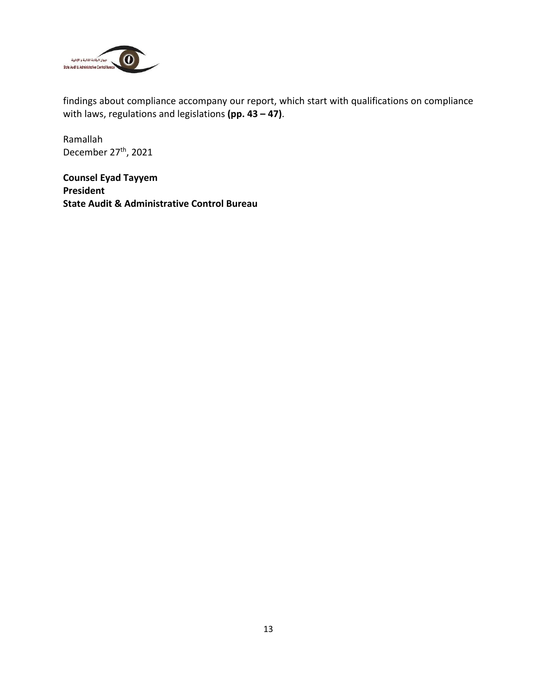

findings about compliance accompany our report, which start with qualifications on compliance with laws, regulations and legislations **(pp. 43 – 47)**.

Ramallah December 27<sup>th</sup>, 2021

**Counsel Eyad Tayyem President State Audit & Administrative Control Bureau**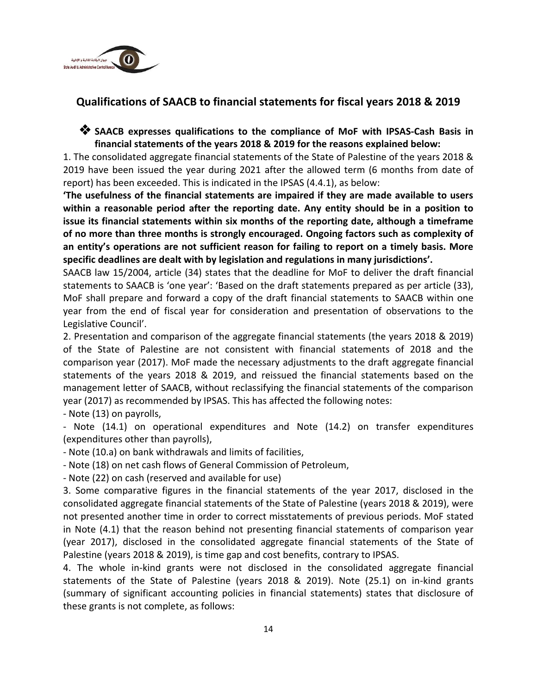

## **Qualifications of SAACB to financial statements for fiscal years 2018 & 2019**

#### ❖ **SAACB expresses qualifications to the compliance of MoF with IPSAS-Cash Basis in financial statements of the years 2018 & 2019 for the reasons explained below:**

1. The consolidated aggregate financial statements of the State of Palestine of the years 2018 & 2019 have been issued the year during 2021 after the allowed term (6 months from date of report) has been exceeded. This is indicated in the IPSAS (4.4.1), as below:

**'The usefulness of the financial statements are impaired if they are made available to users within a reasonable period after the reporting date. Any entity should be in a position to issue its financial statements within six months of the reporting date, although a timeframe of no more than three months is strongly encouraged. Ongoing factors such as complexity of an entity's operations are not sufficient reason for failing to report on a timely basis. More specific deadlines are dealt with by legislation and regulations in many jurisdictions'.**

SAACB law 15/2004, article (34) states that the deadline for MoF to deliver the draft financial statements to SAACB is 'one year': 'Based on the draft statements prepared as per article (33), MoF shall prepare and forward a copy of the draft financial statements to SAACB within one year from the end of fiscal year for consideration and presentation of observations to the Legislative Council'.

2. Presentation and comparison of the aggregate financial statements (the years 2018 & 2019) of the State of Palestine are not consistent with financial statements of 2018 and the comparison year (2017). MoF made the necessary adjustments to the draft aggregate financial statements of the years 2018 & 2019, and reissued the financial statements based on the management letter of SAACB, without reclassifying the financial statements of the comparison year (2017) as recommended by IPSAS. This has affected the following notes:

- Note (13) on payrolls,

- Note (14.1) on operational expenditures and Note (14.2) on transfer expenditures (expenditures other than payrolls),

- Note (10.a) on bank withdrawals and limits of facilities,

- Note (18) on net cash flows of General Commission of Petroleum,

- Note (22) on cash (reserved and available for use)

3. Some comparative figures in the financial statements of the year 2017, disclosed in the consolidated aggregate financial statements of the State of Palestine (years 2018 & 2019), were not presented another time in order to correct misstatements of previous periods. MoF stated in Note (4.1) that the reason behind not presenting financial statements of comparison year (year 2017), disclosed in the consolidated aggregate financial statements of the State of Palestine (years 2018 & 2019), is time gap and cost benefits, contrary to IPSAS.

4. The whole in-kind grants were not disclosed in the consolidated aggregate financial statements of the State of Palestine (years 2018 & 2019). Note (25.1) on in-kind grants (summary of significant accounting policies in financial statements) states that disclosure of these grants is not complete, as follows: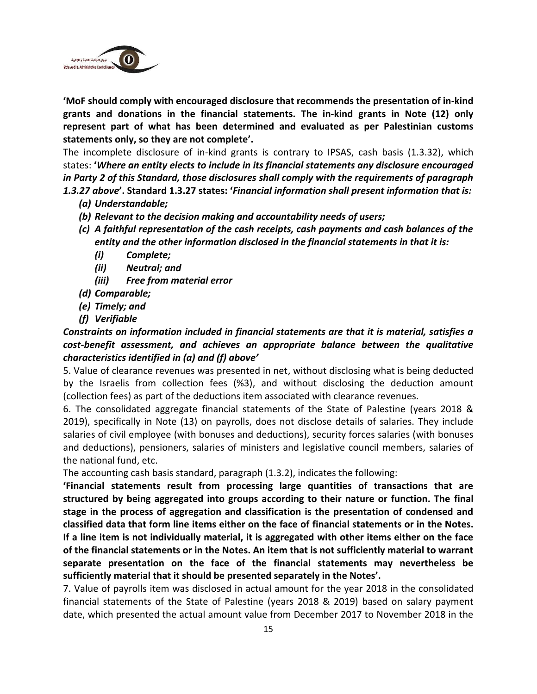

**'MoF should comply with encouraged disclosure that recommends the presentation of in-kind grants and donations in the financial statements. The in-kind grants in Note (12) only represent part of what has been determined and evaluated as per Palestinian customs statements only, so they are not complete'.**

The incomplete disclosure of in-kind grants is contrary to IPSAS, cash basis (1.3.32), which states: **'***Where an entity elects to include in its financial statements any disclosure encouraged in Party 2 of this Standard, those disclosures shall comply with the requirements of paragraph 1.3.27 above***'. Standard 1.3.27 states: '***Financial information shall present information that is:*

- *(a) Understandable;*
- *(b) Relevant to the decision making and accountability needs of users;*
- *(c) A faithful representation of the cash receipts, cash payments and cash balances of the entity and the other information disclosed in the financial statements in that it is:*
	- *(i) Complete;*
	- *(ii) Neutral; and*
	- *(iii) Free from material error*
- *(d) Comparable;*
- *(e) Timely; and*
- *(f) Verifiable*

#### *Constraints on information included in financial statements are that it is material, satisfies a cost-benefit assessment, and achieves an appropriate balance between the qualitative characteristics identified in (a) and (f) above'*

5. Value of clearance revenues was presented in net, without disclosing what is being deducted by the Israelis from collection fees (%3), and without disclosing the deduction amount (collection fees) as part of the deductions item associated with clearance revenues.

6. The consolidated aggregate financial statements of the State of Palestine (years 2018 & 2019), specifically in Note (13) on payrolls, does not disclose details of salaries. They include salaries of civil employee (with bonuses and deductions), security forces salaries (with bonuses and deductions), pensioners, salaries of ministers and legislative council members, salaries of the national fund, etc.

The accounting cash basis standard, paragraph (1.3.2), indicates the following:

**'Financial statements result from processing large quantities of transactions that are structured by being aggregated into groups according to their nature or function. The final stage in the process of aggregation and classification is the presentation of condensed and classified data that form line items either on the face of financial statements or in the Notes. If a line item is not individually material, it is aggregated with other items either on the face of the financial statements or in the Notes. An item that is not sufficiently material to warrant separate presentation on the face of the financial statements may nevertheless be sufficiently material that it should be presented separately in the Notes'.**

7. Value of payrolls item was disclosed in actual amount for the year 2018 in the consolidated financial statements of the State of Palestine (years 2018 & 2019) based on salary payment date, which presented the actual amount value from December 2017 to November 2018 in the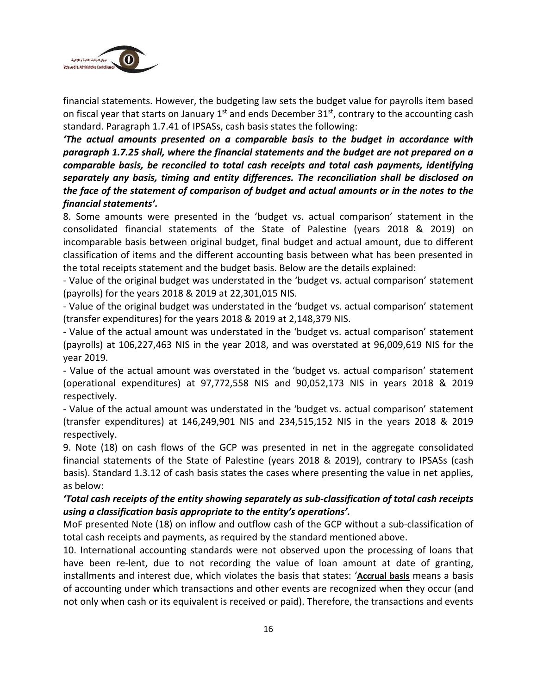

financial statements. However, the budgeting law sets the budget value for payrolls item based on fiscal year that starts on January  $1<sup>st</sup>$  and ends December 31 $<sup>st</sup>$ , contrary to the accounting cash</sup> standard. Paragraph 1.7.41 of IPSASs, cash basis states the following:

*'The actual amounts presented on a comparable basis to the budget in accordance with paragraph 1.7.25 shall, where the financial statements and the budget are not prepared on a comparable basis, be reconciled to total cash receipts and total cash payments, identifying separately any basis, timing and entity differences. The reconciliation shall be disclosed on the face of the statement of comparison of budget and actual amounts or in the notes to the financial statements'.*

8. Some amounts were presented in the 'budget vs. actual comparison' statement in the consolidated financial statements of the State of Palestine (years 2018 & 2019) on incomparable basis between original budget, final budget and actual amount, due to different classification of items and the different accounting basis between what has been presented in the total receipts statement and the budget basis. Below are the details explained:

- Value of the original budget was understated in the 'budget vs. actual comparison' statement (payrolls) for the years 2018 & 2019 at 22,301,015 NIS.

- Value of the original budget was understated in the 'budget vs. actual comparison' statement (transfer expenditures) for the years 2018 & 2019 at 2,148,379 NIS.

- Value of the actual amount was understated in the 'budget vs. actual comparison' statement (payrolls) at 106,227,463 NIS in the year 2018, and was overstated at 96,009,619 NIS for the year 2019.

- Value of the actual amount was overstated in the 'budget vs. actual comparison' statement (operational expenditures) at 97,772,558 NIS and 90,052,173 NIS in years 2018 & 2019 respectively.

- Value of the actual amount was understated in the 'budget vs. actual comparison' statement (transfer expenditures) at 146,249,901 NIS and 234,515,152 NIS in the years 2018 & 2019 respectively.

9. Note (18) on cash flows of the GCP was presented in net in the aggregate consolidated financial statements of the State of Palestine (years 2018 & 2019), contrary to IPSASs (cash basis). Standard 1.3.12 of cash basis states the cases where presenting the value in net applies, as below:

#### *'Total cash receipts of the entity showing separately as sub-classification of total cash receipts using a classification basis appropriate to the entity's operations'.*

MoF presented Note (18) on inflow and outflow cash of the GCP without a sub-classification of total cash receipts and payments, as required by the standard mentioned above.

10. International accounting standards were not observed upon the processing of loans that have been re-lent, due to not recording the value of loan amount at date of granting, installments and interest due, which violates the basis that states: '**Accrual basis** means a basis of accounting under which transactions and other events are recognized when they occur (and not only when cash or its equivalent is received or paid). Therefore, the transactions and events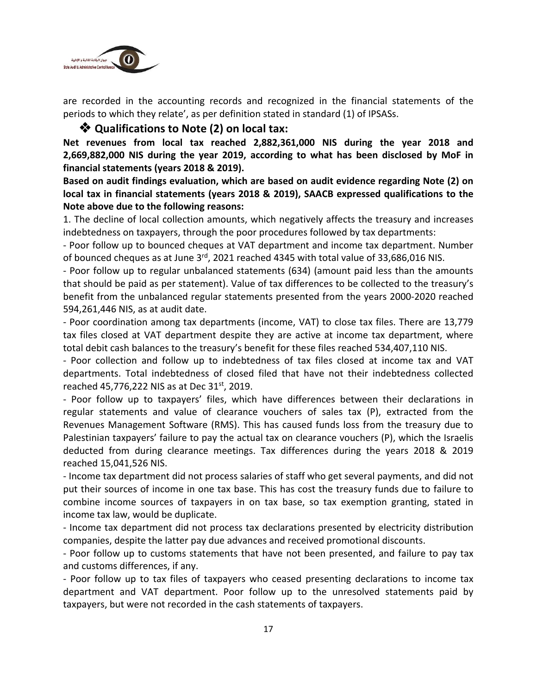

are recorded in the accounting records and recognized in the financial statements of the periods to which they relate', as per definition stated in standard (1) of IPSASs.

#### ❖ **Qualifications to Note (2) on local tax:**

**Net revenues from local tax reached 2,882,361,000 NIS during the year 2018 and 2,669,882,000 NIS during the year 2019, according to what has been disclosed by MoF in financial statements (years 2018 & 2019).**

**Based on audit findings evaluation, which are based on audit evidence regarding Note (2) on local tax in financial statements (years 2018 & 2019), SAACB expressed qualifications to the Note above due to the following reasons:**

1. The decline of local collection amounts, which negatively affects the treasury and increases indebtedness on taxpayers, through the poor procedures followed by tax departments:

- Poor follow up to bounced cheques at VAT department and income tax department. Number of bounced cheques as at June 3<sup>rd</sup>, 2021 reached 4345 with total value of 33,686,016 NIS.

- Poor follow up to regular unbalanced statements (634) (amount paid less than the amounts that should be paid as per statement). Value of tax differences to be collected to the treasury's benefit from the unbalanced regular statements presented from the years 2000-2020 reached 594,261,446 NIS, as at audit date.

- Poor coordination among tax departments (income, VAT) to close tax files. There are 13,779 tax files closed at VAT department despite they are active at income tax department, where total debit cash balances to the treasury's benefit for these files reached 534,407,110 NIS.

- Poor collection and follow up to indebtedness of tax files closed at income tax and VAT departments. Total indebtedness of closed filed that have not their indebtedness collected reached 45,776,222 NIS as at Dec 31<sup>st</sup>, 2019.

- Poor follow up to taxpayers' files, which have differences between their declarations in regular statements and value of clearance vouchers of sales tax (P), extracted from the Revenues Management Software (RMS). This has caused funds loss from the treasury due to Palestinian taxpayers' failure to pay the actual tax on clearance vouchers (P), which the Israelis deducted from during clearance meetings. Tax differences during the years 2018 & 2019 reached 15,041,526 NIS.

- Income tax department did not process salaries of staff who get several payments, and did not put their sources of income in one tax base. This has cost the treasury funds due to failure to combine income sources of taxpayers in on tax base, so tax exemption granting, stated in income tax law, would be duplicate.

- Income tax department did not process tax declarations presented by electricity distribution companies, despite the latter pay due advances and received promotional discounts.

- Poor follow up to customs statements that have not been presented, and failure to pay tax and customs differences, if any.

- Poor follow up to tax files of taxpayers who ceased presenting declarations to income tax department and VAT department. Poor follow up to the unresolved statements paid by taxpayers, but were not recorded in the cash statements of taxpayers.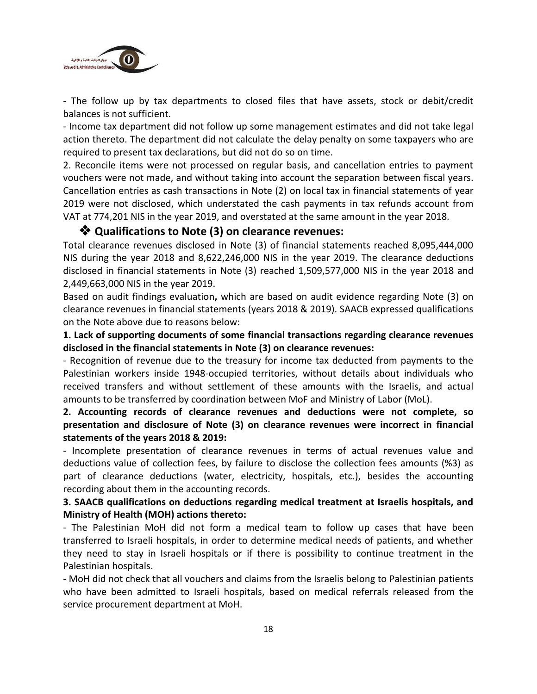

- The follow up by tax departments to closed files that have assets, stock or debit/credit balances is not sufficient.

- Income tax department did not follow up some management estimates and did not take legal action thereto. The department did not calculate the delay penalty on some taxpayers who are required to present tax declarations, but did not do so on time.

2. Reconcile items were not processed on regular basis, and cancellation entries to payment vouchers were not made, and without taking into account the separation between fiscal years. Cancellation entries as cash transactions in Note (2) on local tax in financial statements of year 2019 were not disclosed, which understated the cash payments in tax refunds account from VAT at 774,201 NIS in the year 2019, and overstated at the same amount in the year 2018.

#### ❖ **Qualifications to Note (3) on clearance revenues:**

Total clearance revenues disclosed in Note (3) of financial statements reached 8,095,444,000 NIS during the year 2018 and 8,622,246,000 NIS in the year 2019. The clearance deductions disclosed in financial statements in Note (3) reached 1,509,577,000 NIS in the year 2018 and 2,449,663,000 NIS in the year 2019.

Based on audit findings evaluation**,** which are based on audit evidence regarding Note (3) on clearance revenues in financial statements (years 2018 & 2019). SAACB expressed qualifications on the Note above due to reasons below:

#### **1. Lack of supporting documents of some financial transactions regarding clearance revenues disclosed in the financial statements in Note (3) on clearance revenues:**

- Recognition of revenue due to the treasury for income tax deducted from payments to the Palestinian workers inside 1948-occupied territories, without details about individuals who received transfers and without settlement of these amounts with the Israelis, and actual amounts to be transferred by coordination between MoF and Ministry of Labor (MoL).

#### **2. Accounting records of clearance revenues and deductions were not complete, so presentation and disclosure of Note (3) on clearance revenues were incorrect in financial statements of the years 2018 & 2019:**

- Incomplete presentation of clearance revenues in terms of actual revenues value and deductions value of collection fees, by failure to disclose the collection fees amounts (%3) as part of clearance deductions (water, electricity, hospitals, etc.), besides the accounting recording about them in the accounting records.

#### **3. SAACB qualifications on deductions regarding medical treatment at Israelis hospitals, and Ministry of Health (MOH) actions thereto:**

- The Palestinian MoH did not form a medical team to follow up cases that have been transferred to Israeli hospitals, in order to determine medical needs of patients, and whether they need to stay in Israeli hospitals or if there is possibility to continue treatment in the Palestinian hospitals.

- MoH did not check that all vouchers and claims from the Israelis belong to Palestinian patients who have been admitted to Israeli hospitals, based on medical referrals released from the service procurement department at MoH.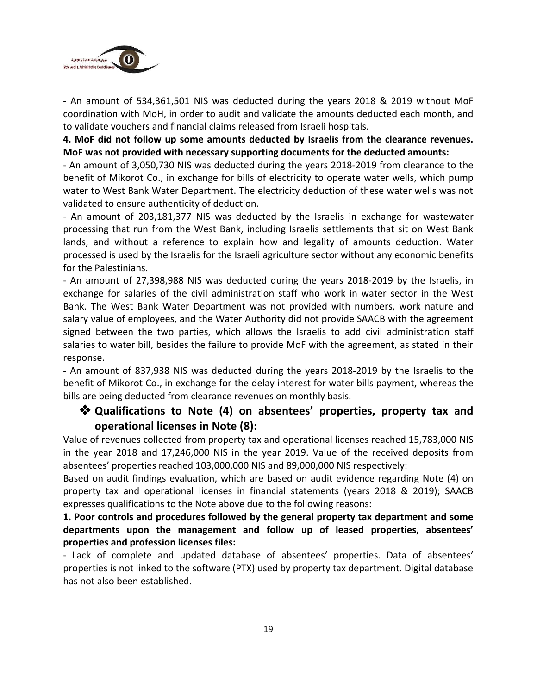

- An amount of 534,361,501 NIS was deducted during the years 2018 & 2019 without MoF coordination with MoH, in order to audit and validate the amounts deducted each month, and to validate vouchers and financial claims released from Israeli hospitals.

**4. MoF did not follow up some amounts deducted by Israelis from the clearance revenues. MoF was not provided with necessary supporting documents for the deducted amounts:**

- An amount of 3,050,730 NIS was deducted during the years 2018-2019 from clearance to the benefit of Mikorot Co., in exchange for bills of electricity to operate water wells, which pump water to West Bank Water Department. The electricity deduction of these water wells was not validated to ensure authenticity of deduction.

- An amount of 203,181,377 NIS was deducted by the Israelis in exchange for wastewater processing that run from the West Bank, including Israelis settlements that sit on West Bank lands, and without a reference to explain how and legality of amounts deduction. Water processed is used by the Israelis for the Israeli agriculture sector without any economic benefits for the Palestinians.

- An amount of 27,398,988 NIS was deducted during the years 2018-2019 by the Israelis, in exchange for salaries of the civil administration staff who work in water sector in the West Bank. The West Bank Water Department was not provided with numbers, work nature and salary value of employees, and the Water Authority did not provide SAACB with the agreement signed between the two parties, which allows the Israelis to add civil administration staff salaries to water bill, besides the failure to provide MoF with the agreement, as stated in their response.

- An amount of 837,938 NIS was deducted during the years 2018-2019 by the Israelis to the benefit of Mikorot Co., in exchange for the delay interest for water bills payment, whereas the bills are being deducted from clearance revenues on monthly basis.

## ❖ **Qualifications to Note (4) on absentees' properties, property tax and operational licenses in Note (8):**

Value of revenues collected from property tax and operational licenses reached 15,783,000 NIS in the year 2018 and 17,246,000 NIS in the year 2019. Value of the received deposits from absentees' properties reached 103,000,000 NIS and 89,000,000 NIS respectively:

Based on audit findings evaluation, which are based on audit evidence regarding Note (4) on property tax and operational licenses in financial statements (years 2018 & 2019); SAACB expresses qualifications to the Note above due to the following reasons:

#### **1. Poor controls and procedures followed by the general property tax department and some departments upon the management and follow up of leased properties, absentees' properties and profession licenses files:**

- Lack of complete and updated database of absentees' properties. Data of absentees' properties is not linked to the software (PTX) used by property tax department. Digital database has not also been established.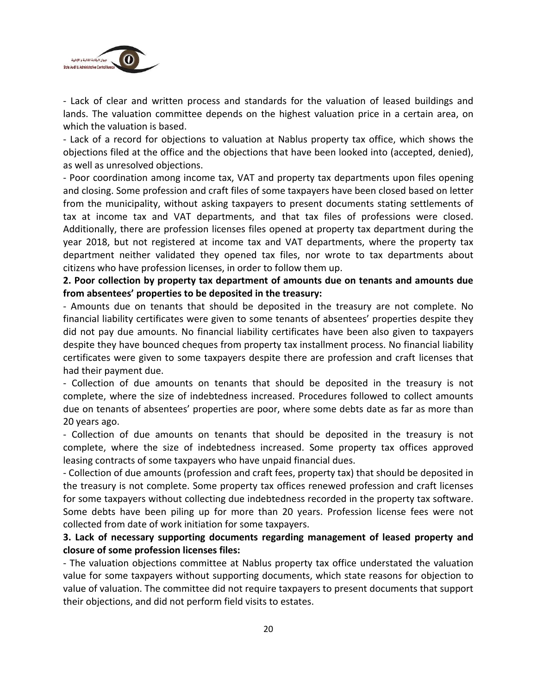

- Lack of clear and written process and standards for the valuation of leased buildings and lands. The valuation committee depends on the highest valuation price in a certain area, on which the valuation is based.

- Lack of a record for objections to valuation at Nablus property tax office, which shows the objections filed at the office and the objections that have been looked into (accepted, denied), as well as unresolved objections.

- Poor coordination among income tax, VAT and property tax departments upon files opening and closing. Some profession and craft files of some taxpayers have been closed based on letter from the municipality, without asking taxpayers to present documents stating settlements of tax at income tax and VAT departments, and that tax files of professions were closed. Additionally, there are profession licenses files opened at property tax department during the year 2018, but not registered at income tax and VAT departments, where the property tax department neither validated they opened tax files, nor wrote to tax departments about citizens who have profession licenses, in order to follow them up.

#### **2. Poor collection by property tax department of amounts due on tenants and amounts due from absentees' properties to be deposited in the treasury:**

- Amounts due on tenants that should be deposited in the treasury are not complete. No financial liability certificates were given to some tenants of absentees' properties despite they did not pay due amounts. No financial liability certificates have been also given to taxpayers despite they have bounced cheques from property tax installment process. No financial liability certificates were given to some taxpayers despite there are profession and craft licenses that had their payment due.

- Collection of due amounts on tenants that should be deposited in the treasury is not complete, where the size of indebtedness increased. Procedures followed to collect amounts due on tenants of absentees' properties are poor, where some debts date as far as more than 20 years ago.

- Collection of due amounts on tenants that should be deposited in the treasury is not complete, where the size of indebtedness increased. Some property tax offices approved leasing contracts of some taxpayers who have unpaid financial dues.

- Collection of due amounts (profession and craft fees, property tax) that should be deposited in the treasury is not complete. Some property tax offices renewed profession and craft licenses for some taxpayers without collecting due indebtedness recorded in the property tax software. Some debts have been piling up for more than 20 years. Profession license fees were not collected from date of work initiation for some taxpayers.

#### **3. Lack of necessary supporting documents regarding management of leased property and closure of some profession licenses files:**

- The valuation objections committee at Nablus property tax office understated the valuation value for some taxpayers without supporting documents, which state reasons for objection to value of valuation. The committee did not require taxpayers to present documents that support their objections, and did not perform field visits to estates.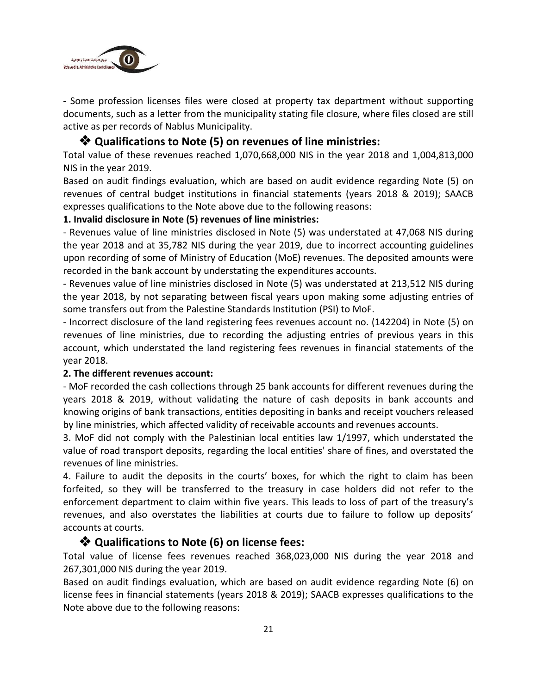

- Some profession licenses files were closed at property tax department without supporting documents, such as a letter from the municipality stating file closure, where files closed are still active as per records of Nablus Municipality.

#### ❖ **Qualifications to Note (5) on revenues of line ministries:**

Total value of these revenues reached 1,070,668,000 NIS in the year 2018 and 1,004,813,000 NIS in the year 2019.

Based on audit findings evaluation, which are based on audit evidence regarding Note (5) on revenues of central budget institutions in financial statements (years 2018 & 2019); SAACB expresses qualifications to the Note above due to the following reasons:

#### **1. Invalid disclosure in Note (5) revenues of line ministries:**

- Revenues value of line ministries disclosed in Note (5) was understated at 47,068 NIS during the year 2018 and at 35,782 NIS during the year 2019, due to incorrect accounting guidelines upon recording of some of Ministry of Education (MoE) revenues. The deposited amounts were recorded in the bank account by understating the expenditures accounts.

- Revenues value of line ministries disclosed in Note (5) was understated at 213,512 NIS during the year 2018, by not separating between fiscal years upon making some adjusting entries of some transfers out from the Palestine Standards Institution (PSI) to MoF.

- Incorrect disclosure of the land registering fees revenues account no. (142204) in Note (5) on revenues of line ministries, due to recording the adjusting entries of previous years in this account, which understated the land registering fees revenues in financial statements of the year 2018.

#### **2. The different revenues account:**

- MoF recorded the cash collections through 25 bank accounts for different revenues during the years 2018 & 2019, without validating the nature of cash deposits in bank accounts and knowing origins of bank transactions, entities depositing in banks and receipt vouchers released by line ministries, which affected validity of receivable accounts and revenues accounts.

3. MoF did not comply with the Palestinian local entities law 1/1997, which understated the value of road transport deposits, regarding the local entities' share of fines, and overstated the revenues of line ministries.

4. Failure to audit the deposits in the courts' boxes, for which the right to claim has been forfeited, so they will be transferred to the treasury in case holders did not refer to the enforcement department to claim within five years. This leads to loss of part of the treasury's revenues, and also overstates the liabilities at courts due to failure to follow up deposits' accounts at courts.

#### ❖ **Qualifications to Note (6) on license fees:**

Total value of license fees revenues reached 368,023,000 NIS during the year 2018 and 267,301,000 NIS during the year 2019.

Based on audit findings evaluation, which are based on audit evidence regarding Note (6) on license fees in financial statements (years 2018 & 2019); SAACB expresses qualifications to the Note above due to the following reasons: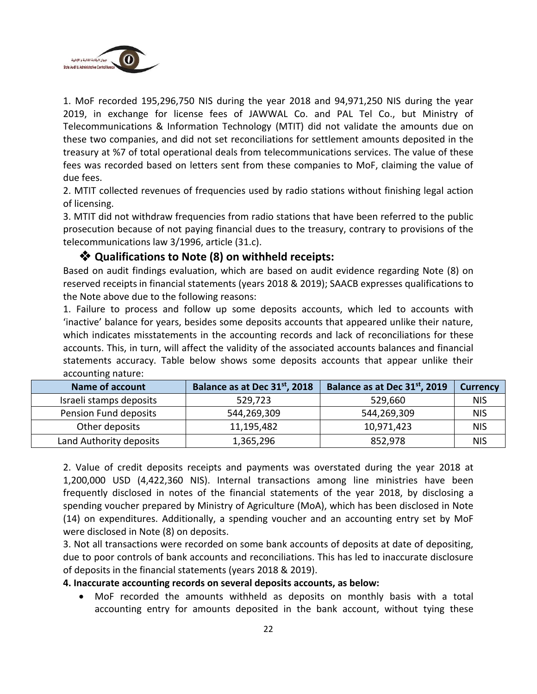

1. MoF recorded 195,296,750 NIS during the year 2018 and 94,971,250 NIS during the year 2019, in exchange for license fees of JAWWAL Co. and PAL Tel Co., but Ministry of Telecommunications & Information Technology (MTIT) did not validate the amounts due on these two companies, and did not set reconciliations for settlement amounts deposited in the treasury at %7 of total operational deals from telecommunications services. The value of these fees was recorded based on letters sent from these companies to MoF, claiming the value of due fees.

2. MTIT collected revenues of frequencies used by radio stations without finishing legal action of licensing.

3. MTIT did not withdraw frequencies from radio stations that have been referred to the public prosecution because of not paying financial dues to the treasury, contrary to provisions of the telecommunications law 3/1996, article (31.c).

#### ❖ **Qualifications to Note (8) on withheld receipts:**

Based on audit findings evaluation, which are based on audit evidence regarding Note (8) on reserved receipts in financial statements (years 2018 & 2019); SAACB expresses qualifications to the Note above due to the following reasons:

1. Failure to process and follow up some deposits accounts, which led to accounts with 'inactive' balance for years, besides some deposits accounts that appeared unlike their nature, which indicates misstatements in the accounting records and lack of reconciliations for these accounts. This, in turn, will affect the validity of the associated accounts balances and financial statements accuracy. Table below shows some deposits accounts that appear unlike their accounting nature:

| <b>Name of account</b>  | Balance as at Dec 31st, 2018 | Balance as at Dec 31 <sup>st</sup> , 2019 | <b>Currency</b> |
|-------------------------|------------------------------|-------------------------------------------|-----------------|
| Israeli stamps deposits | 529,723                      | 529,660                                   | <b>NIS</b>      |
| Pension Fund deposits   | 544,269,309                  | 544,269,309                               | <b>NIS</b>      |
| Other deposits          | 11,195,482                   | 10,971,423                                | <b>NIS</b>      |
| Land Authority deposits | 1,365,296                    | 852,978                                   | <b>NIS</b>      |

2. Value of credit deposits receipts and payments was overstated during the year 2018 at 1,200,000 USD (4,422,360 NIS). Internal transactions among line ministries have been frequently disclosed in notes of the financial statements of the year 2018, by disclosing a spending voucher prepared by Ministry of Agriculture (MoA), which has been disclosed in Note (14) on expenditures. Additionally, a spending voucher and an accounting entry set by MoF were disclosed in Note (8) on deposits.

3. Not all transactions were recorded on some bank accounts of deposits at date of depositing, due to poor controls of bank accounts and reconciliations. This has led to inaccurate disclosure of deposits in the financial statements (years 2018 & 2019).

#### **4. Inaccurate accounting records on several deposits accounts, as below:**

• MoF recorded the amounts withheld as deposits on monthly basis with a total accounting entry for amounts deposited in the bank account, without tying these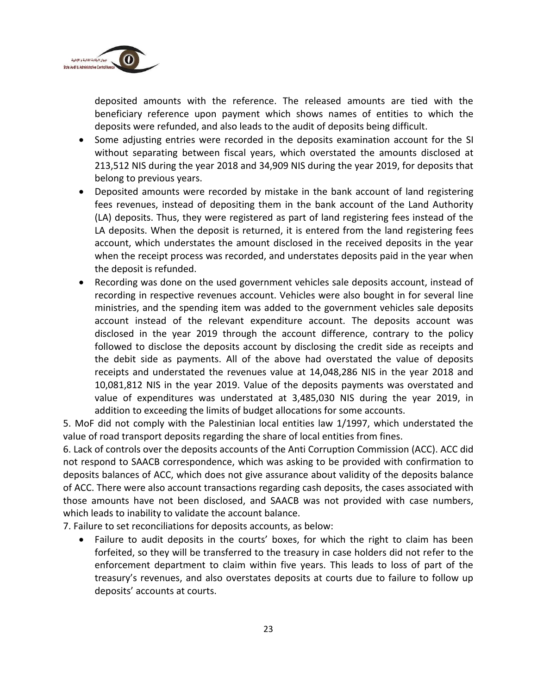

deposited amounts with the reference. The released amounts are tied with the beneficiary reference upon payment which shows names of entities to which the deposits were refunded, and also leads to the audit of deposits being difficult.

- Some adjusting entries were recorded in the deposits examination account for the SI without separating between fiscal years, which overstated the amounts disclosed at 213,512 NIS during the year 2018 and 34,909 NIS during the year 2019, for deposits that belong to previous years.
- Deposited amounts were recorded by mistake in the bank account of land registering fees revenues, instead of depositing them in the bank account of the Land Authority (LA) deposits. Thus, they were registered as part of land registering fees instead of the LA deposits. When the deposit is returned, it is entered from the land registering fees account, which understates the amount disclosed in the received deposits in the year when the receipt process was recorded, and understates deposits paid in the year when the deposit is refunded.
- Recording was done on the used government vehicles sale deposits account, instead of recording in respective revenues account. Vehicles were also bought in for several line ministries, and the spending item was added to the government vehicles sale deposits account instead of the relevant expenditure account. The deposits account was disclosed in the year 2019 through the account difference, contrary to the policy followed to disclose the deposits account by disclosing the credit side as receipts and the debit side as payments. All of the above had overstated the value of deposits receipts and understated the revenues value at 14,048,286 NIS in the year 2018 and 10,081,812 NIS in the year 2019. Value of the deposits payments was overstated and value of expenditures was understated at 3,485,030 NIS during the year 2019, in addition to exceeding the limits of budget allocations for some accounts.

5. MoF did not comply with the Palestinian local entities law 1/1997, which understated the value of road transport deposits regarding the share of local entities from fines.

6. Lack of controls over the deposits accounts of the Anti Corruption Commission (ACC). ACC did not respond to SAACB correspondence, which was asking to be provided with confirmation to deposits balances of ACC, which does not give assurance about validity of the deposits balance of ACC. There were also account transactions regarding cash deposits, the cases associated with those amounts have not been disclosed, and SAACB was not provided with case numbers, which leads to inability to validate the account balance.

7. Failure to set reconciliations for deposits accounts, as below:

• Failure to audit deposits in the courts' boxes, for which the right to claim has been forfeited, so they will be transferred to the treasury in case holders did not refer to the enforcement department to claim within five years. This leads to loss of part of the treasury's revenues, and also overstates deposits at courts due to failure to follow up deposits' accounts at courts.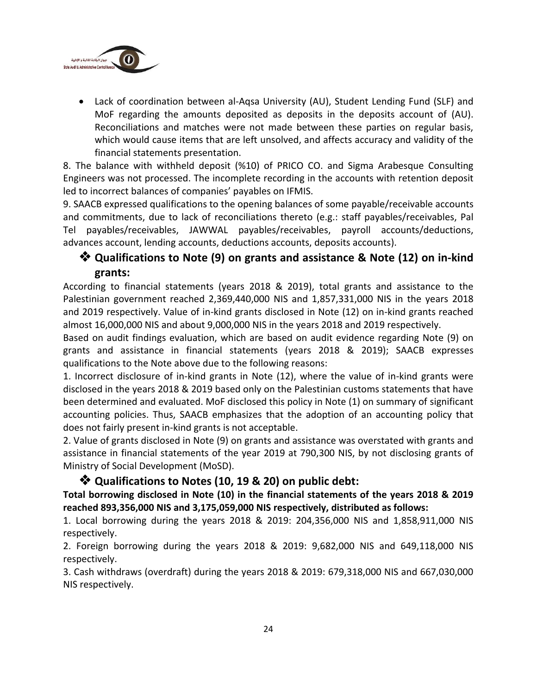

• Lack of coordination between al-Aqsa University (AU), Student Lending Fund (SLF) and MoF regarding the amounts deposited as deposits in the deposits account of (AU). Reconciliations and matches were not made between these parties on regular basis, which would cause items that are left unsolved, and affects accuracy and validity of the financial statements presentation.

8. The balance with withheld deposit (%10) of PRICO CO. and Sigma Arabesque Consulting Engineers was not processed. The incomplete recording in the accounts with retention deposit led to incorrect balances of companies' payables on IFMIS.

9. SAACB expressed qualifications to the opening balances of some payable/receivable accounts and commitments, due to lack of reconciliations thereto (e.g.: staff payables/receivables, Pal Tel payables/receivables, JAWWAL payables/receivables, payroll accounts/deductions, advances account, lending accounts, deductions accounts, deposits accounts).

## ❖ **Qualifications to Note (9) on grants and assistance & Note (12) on in-kind grants:**

According to financial statements (years 2018 & 2019), total grants and assistance to the Palestinian government reached 2,369,440,000 NIS and 1,857,331,000 NIS in the years 2018 and 2019 respectively. Value of in-kind grants disclosed in Note (12) on in-kind grants reached almost 16,000,000 NIS and about 9,000,000 NIS in the years 2018 and 2019 respectively.

Based on audit findings evaluation, which are based on audit evidence regarding Note (9) on grants and assistance in financial statements (years 2018 & 2019); SAACB expresses qualifications to the Note above due to the following reasons:

1. Incorrect disclosure of in-kind grants in Note (12), where the value of in-kind grants were disclosed in the years 2018 & 2019 based only on the Palestinian customs statements that have been determined and evaluated. MoF disclosed this policy in Note (1) on summary of significant accounting policies. Thus, SAACB emphasizes that the adoption of an accounting policy that does not fairly present in-kind grants is not acceptable.

2. Value of grants disclosed in Note (9) on grants and assistance was overstated with grants and assistance in financial statements of the year 2019 at 790,300 NIS, by not disclosing grants of Ministry of Social Development (MoSD).

## ❖ **Qualifications to Notes (10, 19 & 20) on public debt:**

#### **Total borrowing disclosed in Note (10) in the financial statements of the years 2018 & 2019 reached 893,356,000 NIS and 3,175,059,000 NIS respectively, distributed as follows:**

1. Local borrowing during the years 2018 & 2019: 204,356,000 NIS and 1,858,911,000 NIS respectively.

2. Foreign borrowing during the years 2018 & 2019: 9,682,000 NIS and 649,118,000 NIS respectively.

3. Cash withdraws (overdraft) during the years 2018 & 2019: 679,318,000 NIS and 667,030,000 NIS respectively.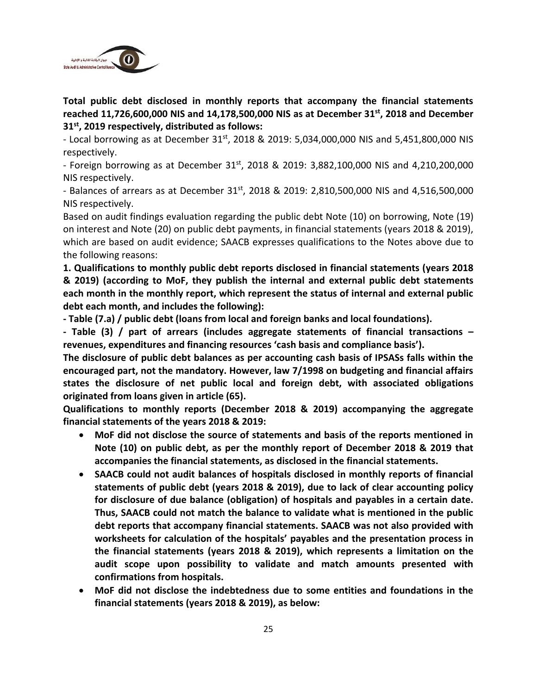

**Total public debt disclosed in monthly reports that accompany the financial statements reached 11,726,600,000 NIS and 14,178,500,000 NIS as at December 31st, 2018 and December 31st, 2019 respectively, distributed as follows:**

- Local borrowing as at December 31st, 2018 & 2019: 5,034,000,000 NIS and 5,451,800,000 NIS respectively.

- Foreign borrowing as at December  $31^{st}$ , 2018 & 2019: 3,882,100,000 NIS and 4,210,200,000 NIS respectively.

- Balances of arrears as at December  $31<sup>st</sup>$ , 2018 & 2019: 2,810,500,000 NIS and 4,516,500,000 NIS respectively.

Based on audit findings evaluation regarding the public debt Note (10) on borrowing, Note (19) on interest and Note (20) on public debt payments, in financial statements (years 2018 & 2019), which are based on audit evidence; SAACB expresses qualifications to the Notes above due to the following reasons:

**1. Qualifications to monthly public debt reports disclosed in financial statements (years 2018 & 2019) (according to MoF, they publish the internal and external public debt statements each month in the monthly report, which represent the status of internal and external public debt each month, and includes the following):**

**- Table (7.a) / public debt (loans from local and foreign banks and local foundations).**

**- Table (3) / part of arrears (includes aggregate statements of financial transactions – revenues, expenditures and financing resources 'cash basis and compliance basis').**

**The disclosure of public debt balances as per accounting cash basis of IPSASs falls within the encouraged part, not the mandatory. However, law 7/1998 on budgeting and financial affairs states the disclosure of net public local and foreign debt, with associated obligations originated from loans given in article (65).**

**Qualifications to monthly reports (December 2018 & 2019) accompanying the aggregate financial statements of the years 2018 & 2019:**

- **MoF did not disclose the source of statements and basis of the reports mentioned in Note (10) on public debt, as per the monthly report of December 2018 & 2019 that accompanies the financial statements, as disclosed in the financial statements.**
- **SAACB could not audit balances of hospitals disclosed in monthly reports of financial statements of public debt (years 2018 & 2019), due to lack of clear accounting policy for disclosure of due balance (obligation) of hospitals and payables in a certain date. Thus, SAACB could not match the balance to validate what is mentioned in the public debt reports that accompany financial statements. SAACB was not also provided with worksheets for calculation of the hospitals' payables and the presentation process in the financial statements (years 2018 & 2019), which represents a limitation on the audit scope upon possibility to validate and match amounts presented with confirmations from hospitals.**
- **MoF did not disclose the indebtedness due to some entities and foundations in the financial statements (years 2018 & 2019), as below:**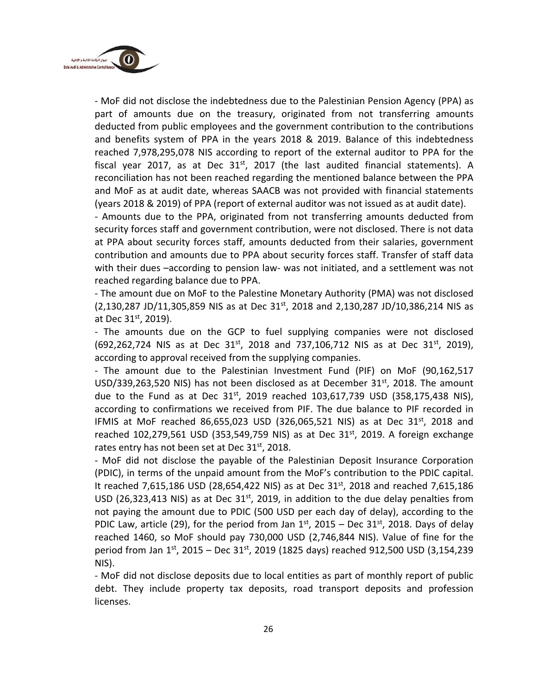

- MoF did not disclose the indebtedness due to the Palestinian Pension Agency (PPA) as part of amounts due on the treasury, originated from not transferring amounts deducted from public employees and the government contribution to the contributions and benefits system of PPA in the years 2018 & 2019. Balance of this indebtedness reached 7,978,295,078 NIS according to report of the external auditor to PPA for the fiscal year 2017, as at Dec  $31<sup>st</sup>$ , 2017 (the last audited financial statements). A reconciliation has not been reached regarding the mentioned balance between the PPA and MoF as at audit date, whereas SAACB was not provided with financial statements (years 2018 & 2019) of PPA (report of external auditor was not issued as at audit date).

- Amounts due to the PPA, originated from not transferring amounts deducted from security forces staff and government contribution, were not disclosed. There is not data at PPA about security forces staff, amounts deducted from their salaries, government contribution and amounts due to PPA about security forces staff. Transfer of staff data with their dues –according to pension law- was not initiated, and a settlement was not reached regarding balance due to PPA.

- The amount due on MoF to the Palestine Monetary Authority (PMA) was not disclosed  $(2,130,287$  JD/11,305,859 NIS as at Dec 31<sup>st</sup>, 2018 and 2,130,287 JD/10,386,214 NIS as at Dec 31st, 2019).

- The amounts due on the GCP to fuel supplying companies were not disclosed  $(692, 262, 724$  NIS as at Dec  $31<sup>st</sup>$ , 2018 and 737, 106, 712 NIS as at Dec  $31<sup>st</sup>$ , 2019), according to approval received from the supplying companies.

- The amount due to the Palestinian Investment Fund (PIF) on MoF (90,162,517 USD/339,263,520 NIS) has not been disclosed as at December 31 $st$ , 2018. The amount due to the Fund as at Dec  $31^{st}$ , 2019 reached 103,617,739 USD (358,175,438 NIS), according to confirmations we received from PIF. The due balance to PIF recorded in IFMIS at MoF reached 86,655,023 USD (326,065,521 NIS) as at Dec 31<sup>st</sup>, 2018 and reached 102,279,561 USD (353,549,759 NIS) as at Dec 31<sup>st</sup>, 2019. A foreign exchange rates entry has not been set at Dec 31st, 2018.

- MoF did not disclose the payable of the Palestinian Deposit Insurance Corporation (PDIC), in terms of the unpaid amount from the MoF's contribution to the PDIC capital. It reached 7,615,186 USD (28,654,422 NIS) as at Dec 31<sup>st</sup>, 2018 and reached 7,615,186 USD (26,323,413 NIS) as at Dec  $31<sup>st</sup>$ , 2019, in addition to the due delay penalties from not paying the amount due to PDIC (500 USD per each day of delay), according to the PDIC Law, article (29), for the period from Jan  $1<sup>st</sup>$ , 2015 – Dec 31 $<sup>st</sup>$ , 2018. Days of delay</sup> reached 1460, so MoF should pay 730,000 USD (2,746,844 NIS). Value of fine for the period from Jan  $1^{st}$ , 2015 – Dec  $31^{st}$ , 2019 (1825 days) reached 912,500 USD (3,154,239 NIS).

- MoF did not disclose deposits due to local entities as part of monthly report of public debt. They include property tax deposits, road transport deposits and profession licenses.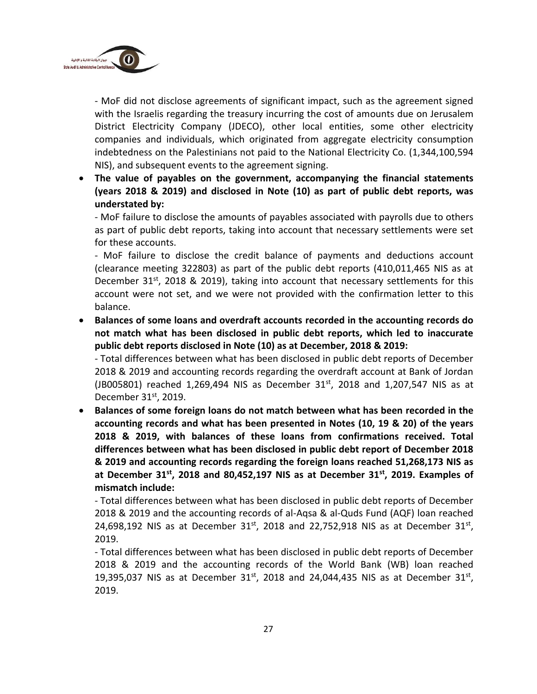

- MoF did not disclose agreements of significant impact, such as the agreement signed with the Israelis regarding the treasury incurring the cost of amounts due on Jerusalem District Electricity Company (JDECO), other local entities, some other electricity companies and individuals, which originated from aggregate electricity consumption indebtedness on the Palestinians not paid to the National Electricity Co. (1,344,100,594 NIS), and subsequent events to the agreement signing.

• **The value of payables on the government, accompanying the financial statements (years 2018 & 2019) and disclosed in Note (10) as part of public debt reports, was understated by:**

- MoF failure to disclose the amounts of payables associated with payrolls due to others as part of public debt reports, taking into account that necessary settlements were set for these accounts.

- MoF failure to disclose the credit balance of payments and deductions account (clearance meeting 322803) as part of the public debt reports (410,011,465 NIS as at December 31<sup>st</sup>, 2018 & 2019), taking into account that necessary settlements for this account were not set, and we were not provided with the confirmation letter to this balance.

• **Balances of some loans and overdraft accounts recorded in the accounting records do not match what has been disclosed in public debt reports, which led to inaccurate public debt reports disclosed in Note (10) as at December, 2018 & 2019:**

- Total differences between what has been disclosed in public debt reports of December 2018 & 2019 and accounting records regarding the overdraft account at Bank of Jordan (JB005801) reached 1,269,494 NIS as December 31<sup>st</sup>, 2018 and 1,207,547 NIS as at December  $31<sup>st</sup>$ , 2019.

• **Balances of some foreign loans do not match between what has been recorded in the accounting records and what has been presented in Notes (10, 19 & 20) of the years 2018 & 2019, with balances of these loans from confirmations received. Total differences between what has been disclosed in public debt report of December 2018 & 2019 and accounting records regarding the foreign loans reached 51,268,173 NIS as at December 31st, 2018 and 80,452,197 NIS as at December 31st, 2019. Examples of mismatch include:**

- Total differences between what has been disclosed in public debt reports of December 2018 & 2019 and the accounting records of al-Aqsa & al-Quds Fund (AQF) loan reached 24,698,192 NIS as at December  $31^{st}$ , 2018 and 22,752,918 NIS as at December  $31^{st}$ , 2019.

- Total differences between what has been disclosed in public debt reports of December 2018 & 2019 and the accounting records of the World Bank (WB) loan reached 19,395,037 NIS as at December 31<sup>st</sup>, 2018 and 24,044,435 NIS as at December 31<sup>st</sup>, 2019.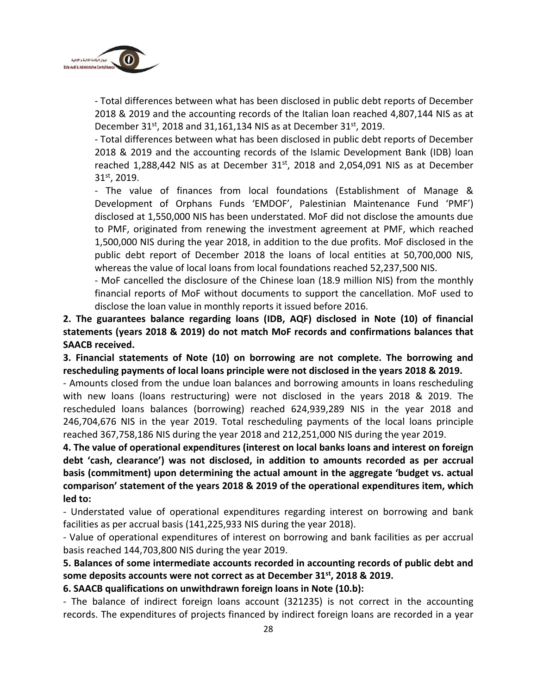

- Total differences between what has been disclosed in public debt reports of December 2018 & 2019 and the accounting records of the Italian loan reached 4,807,144 NIS as at December 31st, 2018 and 31,161,134 NIS as at December 31st, 2019.

- Total differences between what has been disclosed in public debt reports of December 2018 & 2019 and the accounting records of the Islamic Development Bank (IDB) loan reached 1,288,442 NIS as at December  $31<sup>st</sup>$ , 2018 and 2,054,091 NIS as at December 31st , 2019.

- The value of finances from local foundations (Establishment of Manage & Development of Orphans Funds 'EMDOF', Palestinian Maintenance Fund 'PMF') disclosed at 1,550,000 NIS has been understated. MoF did not disclose the amounts due to PMF, originated from renewing the investment agreement at PMF, which reached 1,500,000 NIS during the year 2018, in addition to the due profits. MoF disclosed in the public debt report of December 2018 the loans of local entities at 50,700,000 NIS, whereas the value of local loans from local foundations reached 52,237,500 NIS.

- MoF cancelled the disclosure of the Chinese loan (18.9 million NIS) from the monthly financial reports of MoF without documents to support the cancellation. MoF used to disclose the loan value in monthly reports it issued before 2016.

**2. The guarantees balance regarding loans (IDB, AQF) disclosed in Note (10) of financial statements (years 2018 & 2019) do not match MoF records and confirmations balances that SAACB received.**

**3. Financial statements of Note (10) on borrowing are not complete. The borrowing and rescheduling payments of local loans principle were not disclosed in the years 2018 & 2019.**

- Amounts closed from the undue loan balances and borrowing amounts in loans rescheduling with new loans (loans restructuring) were not disclosed in the years 2018 & 2019. The rescheduled loans balances (borrowing) reached 624,939,289 NIS in the year 2018 and 246,704,676 NIS in the year 2019. Total rescheduling payments of the local loans principle reached 367,758,186 NIS during the year 2018 and 212,251,000 NIS during the year 2019.

**4. The value of operational expenditures (interest on local banks loans and interest on foreign debt 'cash, clearance') was not disclosed, in addition to amounts recorded as per accrual basis (commitment) upon determining the actual amount in the aggregate 'budget vs. actual comparison' statement of the years 2018 & 2019 of the operational expenditures item, which led to:**

- Understated value of operational expenditures regarding interest on borrowing and bank facilities as per accrual basis (141,225,933 NIS during the year 2018).

- Value of operational expenditures of interest on borrowing and bank facilities as per accrual basis reached 144,703,800 NIS during the year 2019.

**5. Balances of some intermediate accounts recorded in accounting records of public debt and some deposits accounts were not correct as at December 31st, 2018 & 2019.**

**6. SAACB qualifications on unwithdrawn foreign loans in Note (10.b):**

- The balance of indirect foreign loans account (321235) is not correct in the accounting records. The expenditures of projects financed by indirect foreign loans are recorded in a year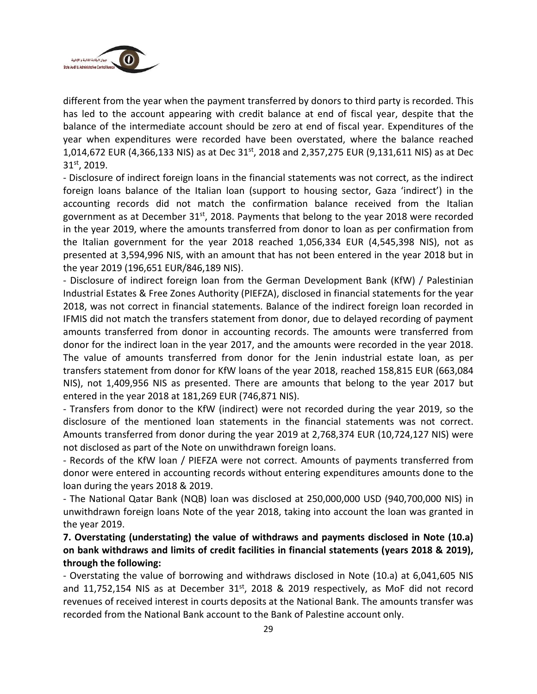

different from the year when the payment transferred by donors to third party is recorded. This has led to the account appearing with credit balance at end of fiscal year, despite that the balance of the intermediate account should be zero at end of fiscal year. Expenditures of the year when expenditures were recorded have been overstated, where the balance reached 1,014,672 EUR (4,366,133 NIS) as at Dec 31<sup>st</sup>, 2018 and 2,357,275 EUR (9,131,611 NIS) as at Dec 31st , 2019.

- Disclosure of indirect foreign loans in the financial statements was not correct, as the indirect foreign loans balance of the Italian loan (support to housing sector, Gaza 'indirect') in the accounting records did not match the confirmation balance received from the Italian government as at December  $31<sup>st</sup>$ , 2018. Payments that belong to the year 2018 were recorded in the year 2019, where the amounts transferred from donor to loan as per confirmation from the Italian government for the year 2018 reached 1,056,334 EUR (4,545,398 NIS), not as presented at 3,594,996 NIS, with an amount that has not been entered in the year 2018 but in the year 2019 (196,651 EUR/846,189 NIS).

- Disclosure of indirect foreign loan from the German Development Bank (KfW) / Palestinian Industrial Estates & Free Zones Authority (PIEFZA), disclosed in financial statements for the year 2018, was not correct in financial statements. Balance of the indirect foreign loan recorded in IFMIS did not match the transfers statement from donor, due to delayed recording of payment amounts transferred from donor in accounting records. The amounts were transferred from donor for the indirect loan in the year 2017, and the amounts were recorded in the year 2018. The value of amounts transferred from donor for the Jenin industrial estate loan, as per transfers statement from donor for KfW loans of the year 2018, reached 158,815 EUR (663,084 NIS), not 1,409,956 NIS as presented. There are amounts that belong to the year 2017 but entered in the year 2018 at 181,269 EUR (746,871 NIS).

- Transfers from donor to the KfW (indirect) were not recorded during the year 2019, so the disclosure of the mentioned loan statements in the financial statements was not correct. Amounts transferred from donor during the year 2019 at 2,768,374 EUR (10,724,127 NIS) were not disclosed as part of the Note on unwithdrawn foreign loans.

- Records of the KfW loan / PIEFZA were not correct. Amounts of payments transferred from donor were entered in accounting records without entering expenditures amounts done to the loan during the years 2018 & 2019.

- The National Qatar Bank (NQB) loan was disclosed at 250,000,000 USD (940,700,000 NIS) in unwithdrawn foreign loans Note of the year 2018, taking into account the loan was granted in the year 2019.

**7. Overstating (understating) the value of withdraws and payments disclosed in Note (10.a) on bank withdraws and limits of credit facilities in financial statements (years 2018 & 2019), through the following:**

- Overstating the value of borrowing and withdraws disclosed in Note (10.a) at 6,041,605 NIS and 11,752,154 NIS as at December  $31<sup>st</sup>$ , 2018 & 2019 respectively, as MoF did not record revenues of received interest in courts deposits at the National Bank. The amounts transfer was recorded from the National Bank account to the Bank of Palestine account only.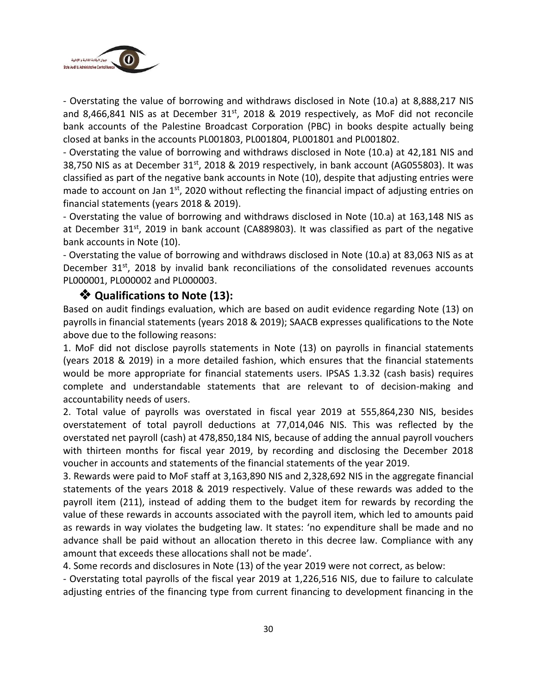

- Overstating the value of borrowing and withdraws disclosed in Note (10.a) at 8,888,217 NIS and 8,466,841 NIS as at December  $31<sup>st</sup>$ , 2018 & 2019 respectively, as MoF did not reconcile bank accounts of the Palestine Broadcast Corporation (PBC) in books despite actually being closed at banks in the accounts PL001803, PL001804, PL001801 and PL001802.

- Overstating the value of borrowing and withdraws disclosed in Note (10.a) at 42,181 NIS and 38,750 NIS as at December 31<sup>st</sup>, 2018 & 2019 respectively, in bank account (AG055803). It was classified as part of the negative bank accounts in Note (10), despite that adjusting entries were made to account on Jan 1<sup>st</sup>, 2020 without reflecting the financial impact of adjusting entries on financial statements (years 2018 & 2019).

- Overstating the value of borrowing and withdraws disclosed in Note (10.a) at 163,148 NIS as at December 31<sup>st</sup>, 2019 in bank account (CA889803). It was classified as part of the negative bank accounts in Note (10).

- Overstating the value of borrowing and withdraws disclosed in Note (10.a) at 83,063 NIS as at December  $31^{st}$ , 2018 by invalid bank reconciliations of the consolidated revenues accounts PL000001, PL000002 and PL000003.

## ❖ **Qualifications to Note (13):**

Based on audit findings evaluation, which are based on audit evidence regarding Note (13) on payrolls in financial statements (years 2018 & 2019); SAACB expresses qualifications to the Note above due to the following reasons:

1. MoF did not disclose payrolls statements in Note (13) on payrolls in financial statements (years 2018 & 2019) in a more detailed fashion, which ensures that the financial statements would be more appropriate for financial statements users. IPSAS 1.3.32 (cash basis) requires complete and understandable statements that are relevant to of decision-making and accountability needs of users.

2. Total value of payrolls was overstated in fiscal year 2019 at 555,864,230 NIS, besides overstatement of total payroll deductions at 77,014,046 NIS. This was reflected by the overstated net payroll (cash) at 478,850,184 NIS, because of adding the annual payroll vouchers with thirteen months for fiscal year 2019, by recording and disclosing the December 2018 voucher in accounts and statements of the financial statements of the year 2019.

3. Rewards were paid to MoF staff at 3,163,890 NIS and 2,328,692 NIS in the aggregate financial statements of the years 2018 & 2019 respectively. Value of these rewards was added to the payroll item (211), instead of adding them to the budget item for rewards by recording the value of these rewards in accounts associated with the payroll item, which led to amounts paid as rewards in way violates the budgeting law. It states: 'no expenditure shall be made and no advance shall be paid without an allocation thereto in this decree law. Compliance with any amount that exceeds these allocations shall not be made'.

4. Some records and disclosures in Note (13) of the year 2019 were not correct, as below:

- Overstating total payrolls of the fiscal year 2019 at 1,226,516 NIS, due to failure to calculate adjusting entries of the financing type from current financing to development financing in the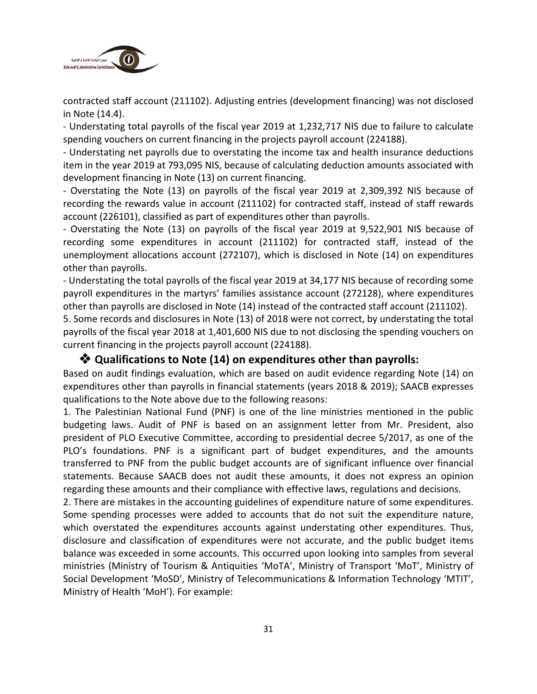

contracted staff account (211102). Adjusting entries (development financing) was not disclosed in Note (14.4).

- Understating total payrolls of the fiscal year 2019 at 1,232,717 NIS due to failure to calculate spending vouchers on current financing in the projects payroll account (224188).

- Understating net payrolls due to overstating the income tax and health insurance deductions item in the year 2019 at 793,095 NIS, because of calculating deduction amounts associated with development financing in Note (13) on current financing.

- Overstating the Note (13) on payrolls of the fiscal year 2019 at 2,309,392 NIS because of recording the rewards value in account (211102) for contracted staff, instead of staff rewards account (226101), classified as part of expenditures other than payrolls.

- Overstating the Note (13) on payrolls of the fiscal year 2019 at 9,522,901 NIS because of recording some expenditures in account (211102) for contracted staff, instead of the unemployment allocations account (272107), which is disclosed in Note (14) on expenditures other than payrolls.

- Understating the total payrolls of the fiscal year 2019 at 34,177 NIS because of recording some payroll expenditures in the martyrs' families assistance account (272128), where expenditures other than payrolls are disclosed in Note (14) instead of the contracted staff account (211102).

5. Some records and disclosures in Note (13) of 2018 were not correct, by understating the total payrolls of the fiscal year 2018 at 1,401,600 NIS due to not disclosing the spending vouchers on current financing in the projects payroll account (224188).

#### ❖ **Qualifications to Note (14) on expenditures other than payrolls:**

Based on audit findings evaluation, which are based on audit evidence regarding Note (14) on expenditures other than payrolls in financial statements (years 2018 & 2019); SAACB expresses qualifications to the Note above due to the following reasons:

1. The Palestinian National Fund (PNF) is one of the line ministries mentioned in the public budgeting laws. Audit of PNF is based on an assignment letter from Mr. President, also president of PLO Executive Committee, according to presidential decree 5/2017, as one of the PLO's foundations. PNF is a significant part of budget expenditures, and the amounts transferred to PNF from the public budget accounts are of significant influence over financial statements. Because SAACB does not audit these amounts, it does not express an opinion regarding these amounts and their compliance with effective laws, regulations and decisions.

2. There are mistakes in the accounting guidelines of expenditure nature of some expenditures. Some spending processes were added to accounts that do not suit the expenditure nature, which overstated the expenditures accounts against understating other expenditures. Thus, disclosure and classification of expenditures were not accurate, and the public budget items balance was exceeded in some accounts. This occurred upon looking into samples from several ministries (Ministry of Tourism & Antiquities 'MoTA', Ministry of Transport 'MoT', Ministry of Social Development 'MoSD', Ministry of Telecommunications & Information Technology 'MTIT', Ministry of Health 'MoH'). For example: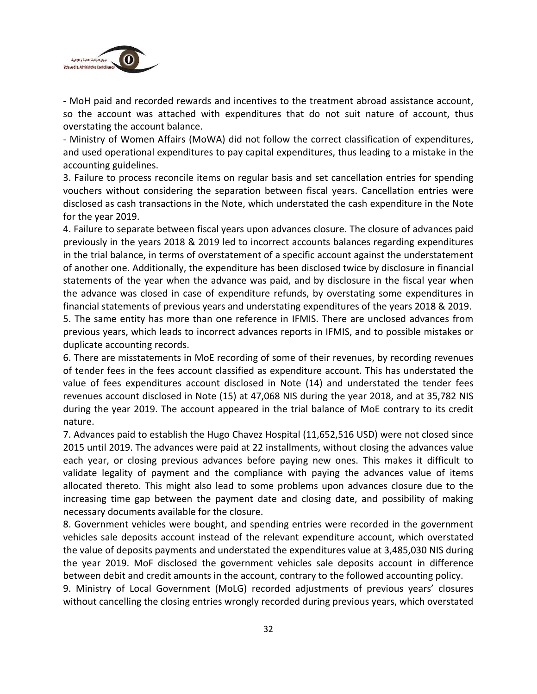

- MoH paid and recorded rewards and incentives to the treatment abroad assistance account, so the account was attached with expenditures that do not suit nature of account, thus overstating the account balance.

- Ministry of Women Affairs (MoWA) did not follow the correct classification of expenditures, and used operational expenditures to pay capital expenditures, thus leading to a mistake in the accounting guidelines.

3. Failure to process reconcile items on regular basis and set cancellation entries for spending vouchers without considering the separation between fiscal years. Cancellation entries were disclosed as cash transactions in the Note, which understated the cash expenditure in the Note for the year 2019.

4. Failure to separate between fiscal years upon advances closure. The closure of advances paid previously in the years 2018 & 2019 led to incorrect accounts balances regarding expenditures in the trial balance, in terms of overstatement of a specific account against the understatement of another one. Additionally, the expenditure has been disclosed twice by disclosure in financial statements of the year when the advance was paid, and by disclosure in the fiscal year when the advance was closed in case of expenditure refunds, by overstating some expenditures in financial statements of previous years and understating expenditures of the years 2018 & 2019.

5. The same entity has more than one reference in IFMIS. There are unclosed advances from previous years, which leads to incorrect advances reports in IFMIS, and to possible mistakes or duplicate accounting records.

6. There are misstatements in MoE recording of some of their revenues, by recording revenues of tender fees in the fees account classified as expenditure account. This has understated the value of fees expenditures account disclosed in Note (14) and understated the tender fees revenues account disclosed in Note (15) at 47,068 NIS during the year 2018, and at 35,782 NIS during the year 2019. The account appeared in the trial balance of MoE contrary to its credit nature.

7. Advances paid to establish the Hugo Chavez Hospital (11,652,516 USD) were not closed since 2015 until 2019. The advances were paid at 22 installments, without closing the advances value each year, or closing previous advances before paying new ones. This makes it difficult to validate legality of payment and the compliance with paying the advances value of items allocated thereto. This might also lead to some problems upon advances closure due to the increasing time gap between the payment date and closing date, and possibility of making necessary documents available for the closure.

8. Government vehicles were bought, and spending entries were recorded in the government vehicles sale deposits account instead of the relevant expenditure account, which overstated the value of deposits payments and understated the expenditures value at 3,485,030 NIS during the year 2019. MoF disclosed the government vehicles sale deposits account in difference between debit and credit amounts in the account, contrary to the followed accounting policy.

9. Ministry of Local Government (MoLG) recorded adjustments of previous years' closures without cancelling the closing entries wrongly recorded during previous years, which overstated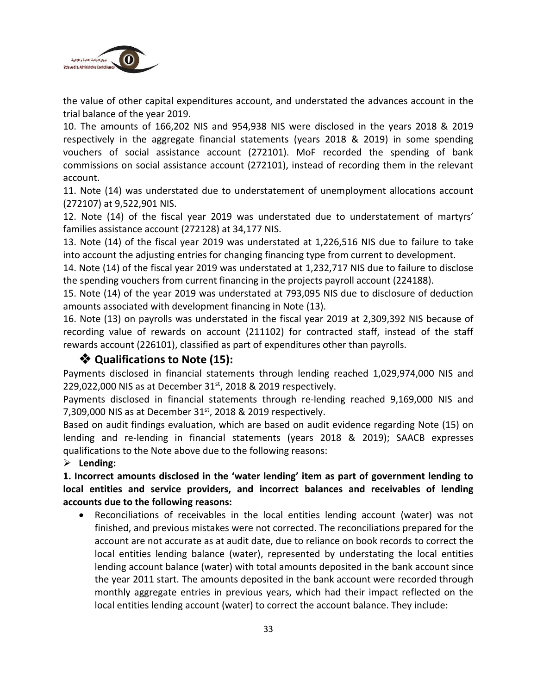

the value of other capital expenditures account, and understated the advances account in the trial balance of the year 2019.

10. The amounts of 166,202 NIS and 954,938 NIS were disclosed in the years 2018 & 2019 respectively in the aggregate financial statements (years 2018 & 2019) in some spending vouchers of social assistance account (272101). MoF recorded the spending of bank commissions on social assistance account (272101), instead of recording them in the relevant account.

11. Note (14) was understated due to understatement of unemployment allocations account (272107) at 9,522,901 NIS.

12. Note (14) of the fiscal year 2019 was understated due to understatement of martyrs' families assistance account (272128) at 34,177 NIS.

13. Note (14) of the fiscal year 2019 was understated at 1,226,516 NIS due to failure to take into account the adjusting entries for changing financing type from current to development.

14. Note (14) of the fiscal year 2019 was understated at 1,232,717 NIS due to failure to disclose the spending vouchers from current financing in the projects payroll account (224188).

15. Note (14) of the year 2019 was understated at 793,095 NIS due to disclosure of deduction amounts associated with development financing in Note (13).

16. Note (13) on payrolls was understated in the fiscal year 2019 at 2,309,392 NIS because of recording value of rewards on account (211102) for contracted staff, instead of the staff rewards account (226101), classified as part of expenditures other than payrolls.

#### ❖ **Qualifications to Note (15):**

Payments disclosed in financial statements through lending reached 1,029,974,000 NIS and 229,022,000 NIS as at December  $31<sup>st</sup>$ , 2018 & 2019 respectively.

Payments disclosed in financial statements through re-lending reached 9,169,000 NIS and 7,309,000 NIS as at December  $31<sup>st</sup>$ , 2018 & 2019 respectively.

Based on audit findings evaluation, which are based on audit evidence regarding Note (15) on lending and re-lending in financial statements (years 2018 & 2019); SAACB expresses qualifications to the Note above due to the following reasons:

#### ➢ **Lending:**

**1. Incorrect amounts disclosed in the 'water lending' item as part of government lending to local entities and service providers, and incorrect balances and receivables of lending accounts due to the following reasons:**

• Reconciliations of receivables in the local entities lending account (water) was not finished, and previous mistakes were not corrected. The reconciliations prepared for the account are not accurate as at audit date, due to reliance on book records to correct the local entities lending balance (water), represented by understating the local entities lending account balance (water) with total amounts deposited in the bank account since the year 2011 start. The amounts deposited in the bank account were recorded through monthly aggregate entries in previous years, which had their impact reflected on the local entities lending account (water) to correct the account balance. They include: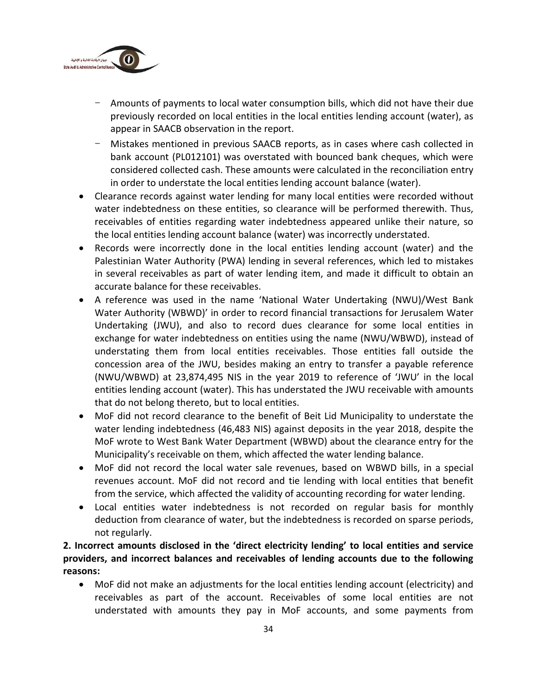

- Amounts of payments to local water consumption bills, which did not have their due previously recorded on local entities in the local entities lending account (water), as appear in SAACB observation in the report.
- Mistakes mentioned in previous SAACB reports, as in cases where cash collected in bank account (PL012101) was overstated with bounced bank cheques, which were considered collected cash. These amounts were calculated in the reconciliation entry in order to understate the local entities lending account balance (water).
- Clearance records against water lending for many local entities were recorded without water indebtedness on these entities, so clearance will be performed therewith. Thus, receivables of entities regarding water indebtedness appeared unlike their nature, so the local entities lending account balance (water) was incorrectly understated.
- Records were incorrectly done in the local entities lending account (water) and the Palestinian Water Authority (PWA) lending in several references, which led to mistakes in several receivables as part of water lending item, and made it difficult to obtain an accurate balance for these receivables.
- A reference was used in the name 'National Water Undertaking (NWU)/West Bank Water Authority (WBWD)' in order to record financial transactions for Jerusalem Water Undertaking (JWU), and also to record dues clearance for some local entities in exchange for water indebtedness on entities using the name (NWU/WBWD), instead of understating them from local entities receivables. Those entities fall outside the concession area of the JWU, besides making an entry to transfer a payable reference (NWU/WBWD) at 23,874,495 NIS in the year 2019 to reference of 'JWU' in the local entities lending account (water). This has understated the JWU receivable with amounts that do not belong thereto, but to local entities.
- MoF did not record clearance to the benefit of Beit Lid Municipality to understate the water lending indebtedness (46,483 NIS) against deposits in the year 2018, despite the MoF wrote to West Bank Water Department (WBWD) about the clearance entry for the Municipality's receivable on them, which affected the water lending balance.
- MoF did not record the local water sale revenues, based on WBWD bills, in a special revenues account. MoF did not record and tie lending with local entities that benefit from the service, which affected the validity of accounting recording for water lending.
- Local entities water indebtedness is not recorded on regular basis for monthly deduction from clearance of water, but the indebtedness is recorded on sparse periods, not regularly.

**2. Incorrect amounts disclosed in the 'direct electricity lending' to local entities and service providers, and incorrect balances and receivables of lending accounts due to the following reasons:**

• MoF did not make an adjustments for the local entities lending account (electricity) and receivables as part of the account. Receivables of some local entities are not understated with amounts they pay in MoF accounts, and some payments from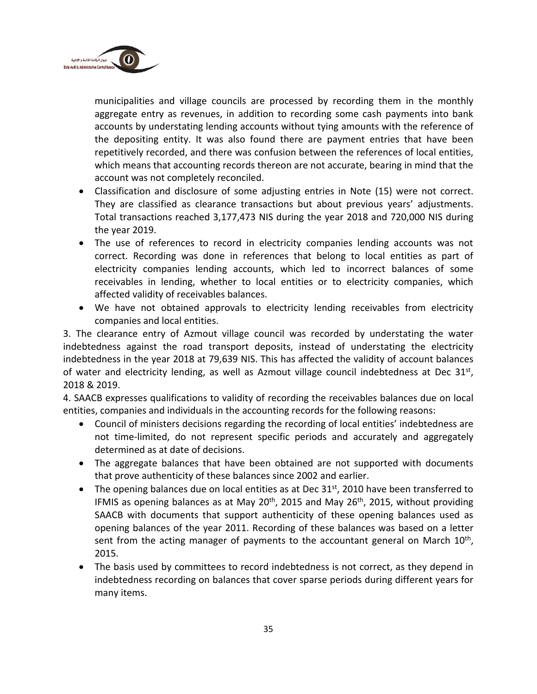

municipalities and village councils are processed by recording them in the monthly aggregate entry as revenues, in addition to recording some cash payments into bank accounts by understating lending accounts without tying amounts with the reference of the depositing entity. It was also found there are payment entries that have been repetitively recorded, and there was confusion between the references of local entities, which means that accounting records thereon are not accurate, bearing in mind that the account was not completely reconciled.

- Classification and disclosure of some adjusting entries in Note (15) were not correct. They are classified as clearance transactions but about previous years' adjustments. Total transactions reached 3,177,473 NIS during the year 2018 and 720,000 NIS during the year 2019.
- The use of references to record in electricity companies lending accounts was not correct. Recording was done in references that belong to local entities as part of electricity companies lending accounts, which led to incorrect balances of some receivables in lending, whether to local entities or to electricity companies, which affected validity of receivables balances.
- We have not obtained approvals to electricity lending receivables from electricity companies and local entities.

3. The clearance entry of Azmout village council was recorded by understating the water indebtedness against the road transport deposits, instead of understating the electricity indebtedness in the year 2018 at 79,639 NIS. This has affected the validity of account balances of water and electricity lending, as well as Azmout village council indebtedness at Dec 31st, 2018 & 2019.

4. SAACB expresses qualifications to validity of recording the receivables balances due on local entities, companies and individuals in the accounting records for the following reasons:

- Council of ministers decisions regarding the recording of local entities' indebtedness are not time-limited, do not represent specific periods and accurately and aggregately determined as at date of decisions.
- The aggregate balances that have been obtained are not supported with documents that prove authenticity of these balances since 2002 and earlier.
- The opening balances due on local entities as at Dec 31<sup>st</sup>, 2010 have been transferred to IFMIS as opening balances as at May 20<sup>th</sup>, 2015 and May 26<sup>th</sup>, 2015, without providing SAACB with documents that support authenticity of these opening balances used as opening balances of the year 2011. Recording of these balances was based on a letter sent from the acting manager of payments to the accountant general on March  $10<sup>th</sup>$ , 2015.
- The basis used by committees to record indebtedness is not correct, as they depend in indebtedness recording on balances that cover sparse periods during different years for many items.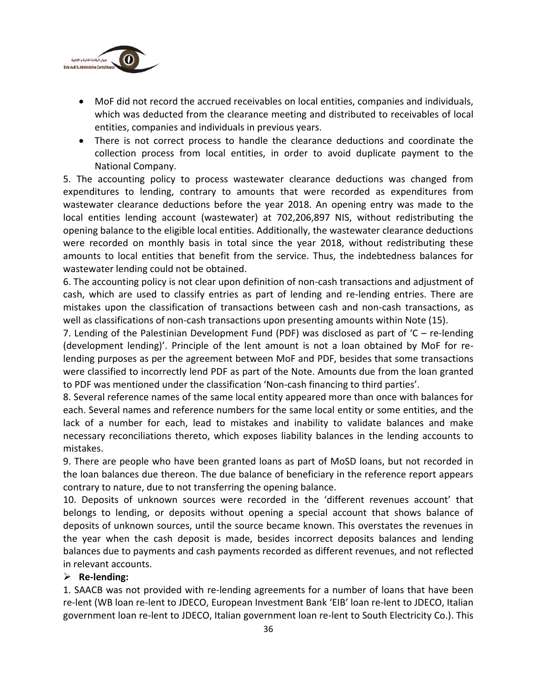

- MoF did not record the accrued receivables on local entities, companies and individuals, which was deducted from the clearance meeting and distributed to receivables of local entities, companies and individuals in previous years.
- There is not correct process to handle the clearance deductions and coordinate the collection process from local entities, in order to avoid duplicate payment to the National Company.

5. The accounting policy to process wastewater clearance deductions was changed from expenditures to lending, contrary to amounts that were recorded as expenditures from wastewater clearance deductions before the year 2018. An opening entry was made to the local entities lending account (wastewater) at 702,206,897 NIS, without redistributing the opening balance to the eligible local entities. Additionally, the wastewater clearance deductions were recorded on monthly basis in total since the year 2018, without redistributing these amounts to local entities that benefit from the service. Thus, the indebtedness balances for wastewater lending could not be obtained.

6. The accounting policy is not clear upon definition of non-cash transactions and adjustment of cash, which are used to classify entries as part of lending and re-lending entries. There are mistakes upon the classification of transactions between cash and non-cash transactions, as well as classifications of non-cash transactions upon presenting amounts within Note (15).

7. Lending of the Palestinian Development Fund (PDF) was disclosed as part of 'C – re-lending (development lending)'. Principle of the lent amount is not a loan obtained by MoF for relending purposes as per the agreement between MoF and PDF, besides that some transactions were classified to incorrectly lend PDF as part of the Note. Amounts due from the loan granted to PDF was mentioned under the classification 'Non-cash financing to third parties'.

8. Several reference names of the same local entity appeared more than once with balances for each. Several names and reference numbers for the same local entity or some entities, and the lack of a number for each, lead to mistakes and inability to validate balances and make necessary reconciliations thereto, which exposes liability balances in the lending accounts to mistakes.

9. There are people who have been granted loans as part of MoSD loans, but not recorded in the loan balances due thereon. The due balance of beneficiary in the reference report appears contrary to nature, due to not transferring the opening balance.

10. Deposits of unknown sources were recorded in the 'different revenues account' that belongs to lending, or deposits without opening a special account that shows balance of deposits of unknown sources, until the source became known. This overstates the revenues in the year when the cash deposit is made, besides incorrect deposits balances and lending balances due to payments and cash payments recorded as different revenues, and not reflected in relevant accounts.

#### ➢ **Re-lending:**

1. SAACB was not provided with re-lending agreements for a number of loans that have been re-lent (WB loan re-lent to JDECO, European Investment Bank 'EIB' loan re-lent to JDECO, Italian government loan re-lent to JDECO, Italian government loan re-lent to South Electricity Co.). This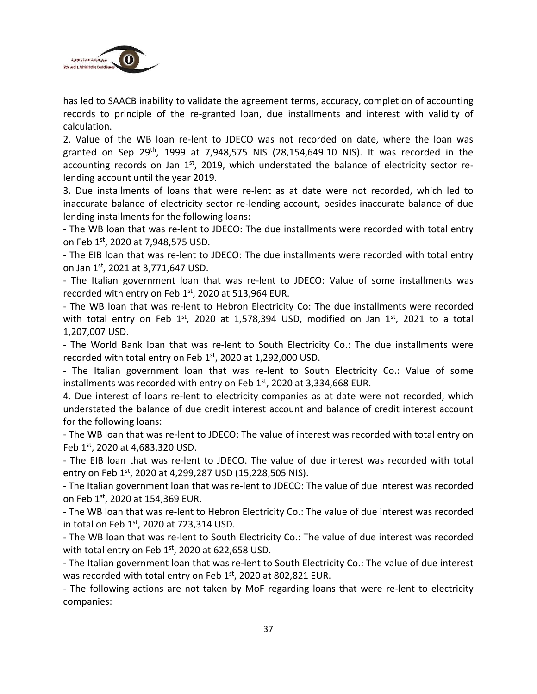

has led to SAACB inability to validate the agreement terms, accuracy, completion of accounting records to principle of the re-granted loan, due installments and interest with validity of calculation.

2. Value of the WB loan re-lent to JDECO was not recorded on date, where the loan was granted on Sep 29<sup>th</sup>, 1999 at 7,948,575 NIS (28,154,649.10 NIS). It was recorded in the accounting records on Jan 1<sup>st</sup>, 2019, which understated the balance of electricity sector relending account until the year 2019.

3. Due installments of loans that were re-lent as at date were not recorded, which led to inaccurate balance of electricity sector re-lending account, besides inaccurate balance of due lending installments for the following loans:

- The WB loan that was re-lent to JDECO: The due installments were recorded with total entry on Feb 1st, 2020 at 7,948,575 USD.

- The EIB loan that was re-lent to JDECO: The due installments were recorded with total entry on Jan 1<sup>st</sup>, 2021 at 3,771,647 USD.

- The Italian government loan that was re-lent to JDECO: Value of some installments was recorded with entry on Feb  $1<sup>st</sup>$ , 2020 at 513,964 EUR.

- The WB loan that was re-lent to Hebron Electricity Co: The due installments were recorded with total entry on Feb  $1^{st}$ , 2020 at 1,578,394 USD, modified on Jan  $1^{st}$ , 2021 to a total 1,207,007 USD.

- The World Bank loan that was re-lent to South Electricity Co.: The due installments were recorded with total entry on Feb 1<sup>st</sup>, 2020 at 1,292,000 USD.

- The Italian government loan that was re-lent to South Electricity Co.: Value of some installments was recorded with entry on Feb  $1<sup>st</sup>$ , 2020 at 3,334,668 EUR.

4. Due interest of loans re-lent to electricity companies as at date were not recorded, which understated the balance of due credit interest account and balance of credit interest account for the following loans:

- The WB loan that was re-lent to JDECO: The value of interest was recorded with total entry on Feb 1<sup>st</sup>, 2020 at 4,683,320 USD.

- The EIB loan that was re-lent to JDECO. The value of due interest was recorded with total entry on Feb 1<sup>st</sup>, 2020 at 4,299,287 USD (15,228,505 NIS).

- The Italian government loan that was re-lent to JDECO: The value of due interest was recorded on Feb 1st, 2020 at 154,369 EUR.

- The WB loan that was re-lent to Hebron Electricity Co.: The value of due interest was recorded in total on Feb  $1<sup>st</sup>$ , 2020 at 723,314 USD.

- The WB loan that was re-lent to South Electricity Co.: The value of due interest was recorded with total entry on Feb  $1<sup>st</sup>$ , 2020 at 622,658 USD.

- The Italian government loan that was re-lent to South Electricity Co.: The value of due interest was recorded with total entry on Feb  $1<sup>st</sup>$ , 2020 at 802,821 EUR.

- The following actions are not taken by MoF regarding loans that were re-lent to electricity companies: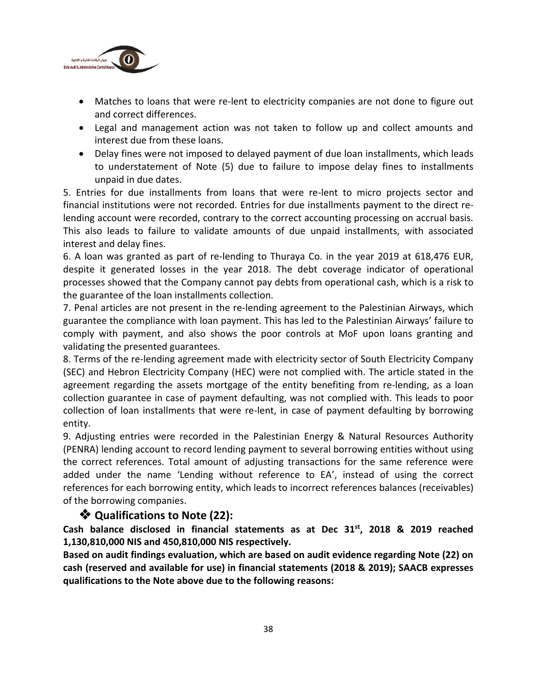

- Matches to loans that were re-lent to electricity companies are not done to figure out and correct differences.
- Legal and management action was not taken to follow up and collect amounts and interest due from these loans.
- Delay fines were not imposed to delayed payment of due loan installments, which leads to understatement of Note (5) due to failure to impose delay fines to installments unpaid in due dates.

5. Entries for due installments from loans that were re-lent to micro projects sector and financial institutions were not recorded. Entries for due installments payment to the direct relending account were recorded, contrary to the correct accounting processing on accrual basis. This also leads to failure to validate amounts of due unpaid installments, with associated interest and delay fines.

6. A loan was granted as part of re-lending to Thuraya Co. in the year 2019 at 618,476 EUR, despite it generated losses in the year 2018. The debt coverage indicator of operational processes showed that the Company cannot pay debts from operational cash, which is a risk to the guarantee of the loan installments collection.

7. Penal articles are not present in the re-lending agreement to the Palestinian Airways, which guarantee the compliance with loan payment. This has led to the Palestinian Airways' failure to comply with payment, and also shows the poor controls at MoF upon loans granting and validating the presented guarantees.

8. Terms of the re-lending agreement made with electricity sector of South Electricity Company (SEC) and Hebron Electricity Company (HEC) were not complied with. The article stated in the agreement regarding the assets mortgage of the entity benefiting from re-lending, as a loan collection guarantee in case of payment defaulting, was not complied with. This leads to poor collection of loan installments that were re-lent, in case of payment defaulting by borrowing entity.

9. Adjusting entries were recorded in the Palestinian Energy & Natural Resources Authority (PENRA) lending account to record lending payment to several borrowing entities without using the correct references. Total amount of adjusting transactions for the same reference were added under the name 'Lending without reference to EA', instead of using the correct references for each borrowing entity, which leads to incorrect references balances (receivables) of the borrowing companies.

#### ❖ **Qualifications to Note (22):**

**Cash balance disclosed in financial statements as at Dec 31st , 2018 & 2019 reached 1,130,810,000 NIS and 450,810,000 NIS respectively.**

**Based on audit findings evaluation, which are based on audit evidence regarding Note (22) on cash (reserved and available for use) in financial statements (2018 & 2019); SAACB expresses qualifications to the Note above due to the following reasons:**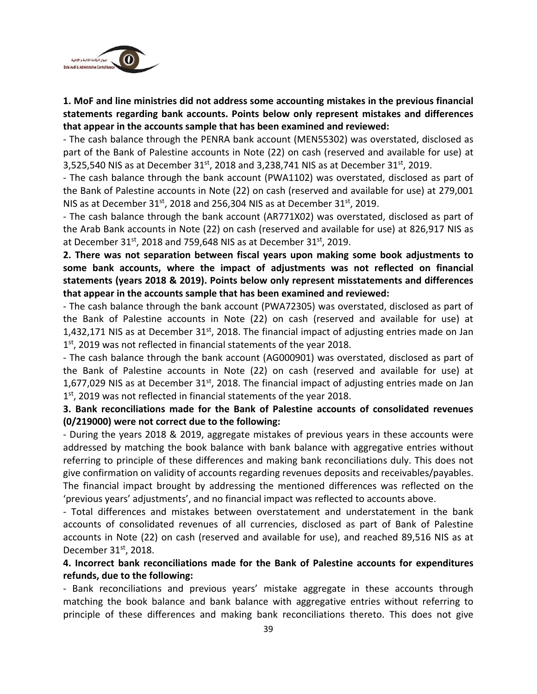

**1. MoF and line ministries did not address some accounting mistakes in the previous financial statements regarding bank accounts. Points below only represent mistakes and differences that appear in the accounts sample that has been examined and reviewed:**

- The cash balance through the PENRA bank account (MEN55302) was overstated, disclosed as part of the Bank of Palestine accounts in Note (22) on cash (reserved and available for use) at 3,525,540 NIS as at December  $31^{st}$ , 2018 and 3,238,741 NIS as at December  $31^{st}$ , 2019.

- The cash balance through the bank account (PWA1102) was overstated, disclosed as part of the Bank of Palestine accounts in Note (22) on cash (reserved and available for use) at 279,001 NIS as at December 31<sup>st</sup>, 2018 and 256,304 NIS as at December 31<sup>st</sup>, 2019.

- The cash balance through the bank account (AR771X02) was overstated, disclosed as part of the Arab Bank accounts in Note (22) on cash (reserved and available for use) at 826,917 NIS as at December 31st, 2018 and 759,648 NIS as at December 31st, 2019.

**2. There was not separation between fiscal years upon making some book adjustments to some bank accounts, where the impact of adjustments was not reflected on financial statements (years 2018 & 2019). Points below only represent misstatements and differences that appear in the accounts sample that has been examined and reviewed:**

- The cash balance through the bank account (PWA72305) was overstated, disclosed as part of the Bank of Palestine accounts in Note (22) on cash (reserved and available for use) at 1,432,171 NIS as at December  $31<sup>st</sup>$ , 2018. The financial impact of adjusting entries made on Jan 1<sup>st</sup>, 2019 was not reflected in financial statements of the year 2018.

- The cash balance through the bank account (AG000901) was overstated, disclosed as part of the Bank of Palestine accounts in Note (22) on cash (reserved and available for use) at 1,677,029 NIS as at December  $31<sup>st</sup>$ , 2018. The financial impact of adjusting entries made on Jan 1<sup>st</sup>, 2019 was not reflected in financial statements of the year 2018.

#### **3. Bank reconciliations made for the Bank of Palestine accounts of consolidated revenues (0/219000) were not correct due to the following:**

- During the years 2018 & 2019, aggregate mistakes of previous years in these accounts were addressed by matching the book balance with bank balance with aggregative entries without referring to principle of these differences and making bank reconciliations duly. This does not give confirmation on validity of accounts regarding revenues deposits and receivables/payables. The financial impact brought by addressing the mentioned differences was reflected on the 'previous years' adjustments', and no financial impact was reflected to accounts above.

- Total differences and mistakes between overstatement and understatement in the bank accounts of consolidated revenues of all currencies, disclosed as part of Bank of Palestine accounts in Note (22) on cash (reserved and available for use), and reached 89,516 NIS as at December  $31<sup>st</sup>$ , 2018.

#### **4. Incorrect bank reconciliations made for the Bank of Palestine accounts for expenditures refunds, due to the following:**

- Bank reconciliations and previous years' mistake aggregate in these accounts through matching the book balance and bank balance with aggregative entries without referring to principle of these differences and making bank reconciliations thereto. This does not give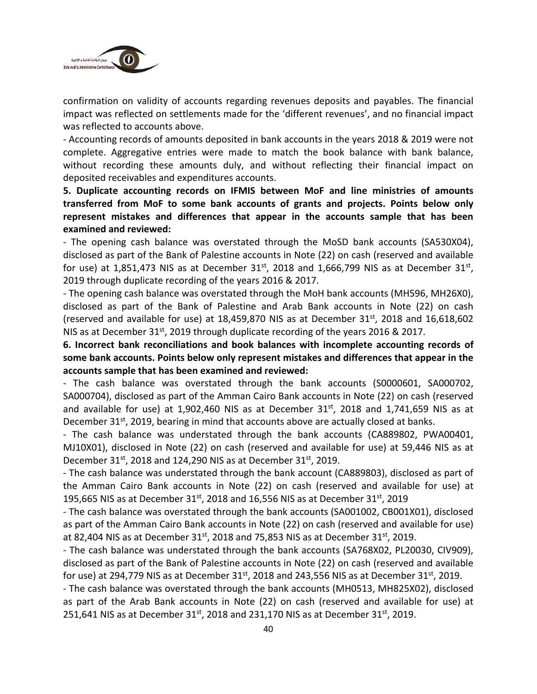

confirmation on validity of accounts regarding revenues deposits and payables. The financial impact was reflected on settlements made for the 'different revenues', and no financial impact was reflected to accounts above.

- Accounting records of amounts deposited in bank accounts in the years 2018 & 2019 were not complete. Aggregative entries were made to match the book balance with bank balance, without recording these amounts duly, and without reflecting their financial impact on deposited receivables and expenditures accounts.

**5. Duplicate accounting records on IFMIS between MoF and line ministries of amounts transferred from MoF to some bank accounts of grants and projects. Points below only represent mistakes and differences that appear in the accounts sample that has been examined and reviewed:**

- The opening cash balance was overstated through the MoSD bank accounts (SA530X04), disclosed as part of the Bank of Palestine accounts in Note (22) on cash (reserved and available for use) at 1,851,473 NIS as at December  $31<sup>st</sup>$ , 2018 and 1,666,799 NIS as at December  $31<sup>st</sup>$ , 2019 through duplicate recording of the years 2016 & 2017.

- The opening cash balance was overstated through the MoH bank accounts (MH596, MH26X0), disclosed as part of the Bank of Palestine and Arab Bank accounts in Note (22) on cash (reserved and available for use) at  $18,459,870$  NIS as at December  $31^{st}$ , 2018 and  $16,618,602$ NIS as at December 31<sup>st</sup>, 2019 through duplicate recording of the years 2016 & 2017.

**6. Incorrect bank reconciliations and book balances with incomplete accounting records of some bank accounts. Points below only represent mistakes and differences that appear in the accounts sample that has been examined and reviewed:**

- The cash balance was overstated through the bank accounts (S0000601, SA000702, SA000704), disclosed as part of the Amman Cairo Bank accounts in Note (22) on cash (reserved and available for use) at 1,902,460 NIS as at December  $31<sup>st</sup>$ , 2018 and 1,741,659 NIS as at December 31 $<sup>st</sup>$ , 2019, bearing in mind that accounts above are actually closed at banks.</sup>

- The cash balance was understated through the bank accounts (CA889802, PWA00401, MJ10X01), disclosed in Note (22) on cash (reserved and available for use) at 59,446 NIS as at December  $31^{st}$ , 2018 and 124,290 NIS as at December  $31^{st}$ , 2019.

- The cash balance was understated through the bank account (CA889803), disclosed as part of the Amman Cairo Bank accounts in Note (22) on cash (reserved and available for use) at 195,665 NIS as at December  $31^{st}$ , 2018 and 16,556 NIS as at December 31st, 2019

- The cash balance was overstated through the bank accounts (SA001002, CB001X01), disclosed as part of the Amman Cairo Bank accounts in Note (22) on cash (reserved and available for use) at 82,404 NIS as at December 31<sup>st</sup>, 2018 and 75,853 NIS as at December 31<sup>st</sup>, 2019.

- The cash balance was understated through the bank accounts (SA768X02, PL20030, CIV909), disclosed as part of the Bank of Palestine accounts in Note (22) on cash (reserved and available for use) at 294,779 NIS as at December  $31^{st}$ , 2018 and 243,556 NIS as at December  $31^{st}$ , 2019.

- The cash balance was overstated through the bank accounts (MH0513, MH825X02), disclosed as part of the Arab Bank accounts in Note (22) on cash (reserved and available for use) at 251,641 NIS as at December  $31^{st}$ , 2018 and 231,170 NIS as at December 31st, 2019.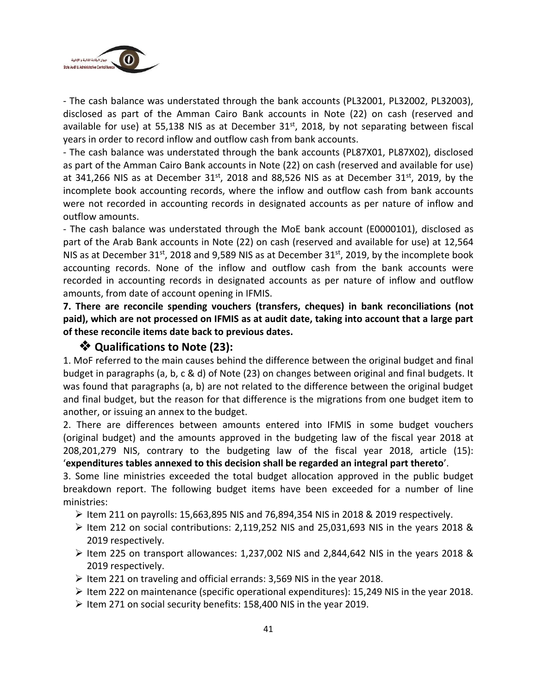

- The cash balance was understated through the bank accounts (PL32001, PL32002, PL32003), disclosed as part of the Amman Cairo Bank accounts in Note (22) on cash (reserved and available for use) at 55,138 NIS as at December 31<sup>st</sup>, 2018, by not separating between fiscal years in order to record inflow and outflow cash from bank accounts.

- The cash balance was understated through the bank accounts (PL87X01, PL87X02), disclosed as part of the Amman Cairo Bank accounts in Note (22) on cash (reserved and available for use) at 341,266 NIS as at December 31<sup>st</sup>, 2018 and 88,526 NIS as at December 31<sup>st</sup>, 2019, by the incomplete book accounting records, where the inflow and outflow cash from bank accounts were not recorded in accounting records in designated accounts as per nature of inflow and outflow amounts.

- The cash balance was understated through the MoE bank account (E0000101), disclosed as part of the Arab Bank accounts in Note (22) on cash (reserved and available for use) at 12,564 NIS as at December 31<sup>st</sup>, 2018 and 9,589 NIS as at December 31<sup>st</sup>, 2019, by the incomplete book accounting records. None of the inflow and outflow cash from the bank accounts were recorded in accounting records in designated accounts as per nature of inflow and outflow amounts, from date of account opening in IFMIS.

**7. There are reconcile spending vouchers (transfers, cheques) in bank reconciliations (not paid), which are not processed on IFMIS as at audit date, taking into account that a large part of these reconcile items date back to previous dates.**

#### ❖ **Qualifications to Note (23):**

1. MoF referred to the main causes behind the difference between the original budget and final budget in paragraphs (a, b, c & d) of Note (23) on changes between original and final budgets. It was found that paragraphs (a, b) are not related to the difference between the original budget and final budget, but the reason for that difference is the migrations from one budget item to another, or issuing an annex to the budget.

2. There are differences between amounts entered into IFMIS in some budget vouchers (original budget) and the amounts approved in the budgeting law of the fiscal year 2018 at 208,201,279 NIS, contrary to the budgeting law of the fiscal year 2018, article (15): '**expenditures tables annexed to this decision shall be regarded an integral part thereto**'.

3. Some line ministries exceeded the total budget allocation approved in the public budget breakdown report. The following budget items have been exceeded for a number of line ministries:

- $\triangleright$  Item 211 on payrolls: 15,663,895 NIS and 76,894,354 NIS in 2018 & 2019 respectively.
- ➢ Item 212 on social contributions: 2,119,252 NIS and 25,031,693 NIS in the years 2018 & 2019 respectively.
- $\triangleright$  Item 225 on transport allowances: 1,237,002 NIS and 2,844,642 NIS in the years 2018 & 2019 respectively.
- ➢ Item 221 on traveling and official errands: 3,569 NIS in the year 2018.
- $\triangleright$  Item 222 on maintenance (specific operational expenditures): 15,249 NIS in the year 2018.
- $\triangleright$  Item 271 on social security benefits: 158,400 NIS in the year 2019.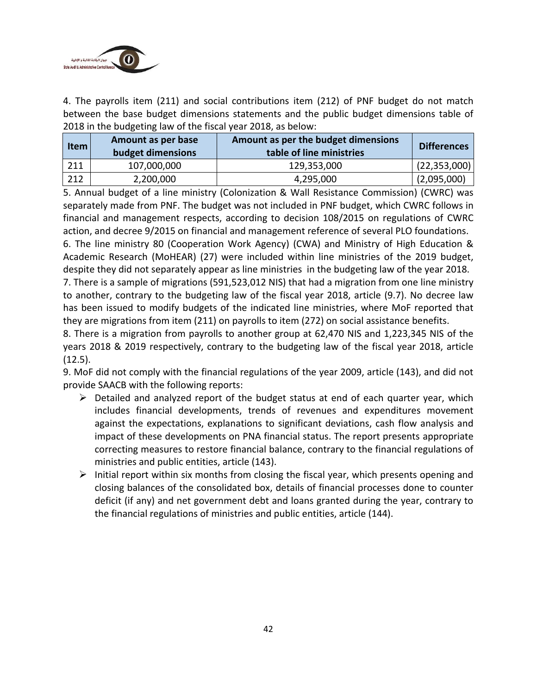

4. The payrolls item (211) and social contributions item (212) of PNF budget do not match between the base budget dimensions statements and the public budget dimensions table of 2018 in the budgeting law of the fiscal year 2018, as below:

| <b>Item</b> | Amount as per base<br>budget dimensions | Amount as per the budget dimensions<br>table of line ministries | <b>Differences</b> |
|-------------|-----------------------------------------|-----------------------------------------------------------------|--------------------|
| 211         | 107,000,000                             | 129,353,000                                                     | (22, 353, 000)     |
| 212         | 2,200,000                               | 4,295,000                                                       | (2,095,000)        |

5. Annual budget of a line ministry (Colonization & Wall Resistance Commission) (CWRC) was separately made from PNF. The budget was not included in PNF budget, which CWRC follows in financial and management respects, according to decision 108/2015 on regulations of CWRC action, and decree 9/2015 on financial and management reference of several PLO foundations.

6. The line ministry 80 (Cooperation Work Agency) (CWA) and Ministry of High Education & Academic Research (MoHEAR) (27) were included within line ministries of the 2019 budget, despite they did not separately appear as line ministries in the budgeting law of the year 2018.

7. There is a sample of migrations (591,523,012 NIS) that had a migration from one line ministry to another, contrary to the budgeting law of the fiscal year 2018, article (9.7). No decree law has been issued to modify budgets of the indicated line ministries, where MoF reported that they are migrations from item (211) on payrolls to item (272) on social assistance benefits.

8. There is a migration from payrolls to another group at 62,470 NIS and 1,223,345 NIS of the years 2018 & 2019 respectively, contrary to the budgeting law of the fiscal year 2018, article (12.5).

9. MoF did not comply with the financial regulations of the year 2009, article (143), and did not provide SAACB with the following reports:

- $\triangleright$  Detailed and analyzed report of the budget status at end of each quarter year, which includes financial developments, trends of revenues and expenditures movement against the expectations, explanations to significant deviations, cash flow analysis and impact of these developments on PNA financial status. The report presents appropriate correcting measures to restore financial balance, contrary to the financial regulations of ministries and public entities, article (143).
- $\triangleright$  Initial report within six months from closing the fiscal year, which presents opening and closing balances of the consolidated box, details of financial processes done to counter deficit (if any) and net government debt and loans granted during the year, contrary to the financial regulations of ministries and public entities, article (144).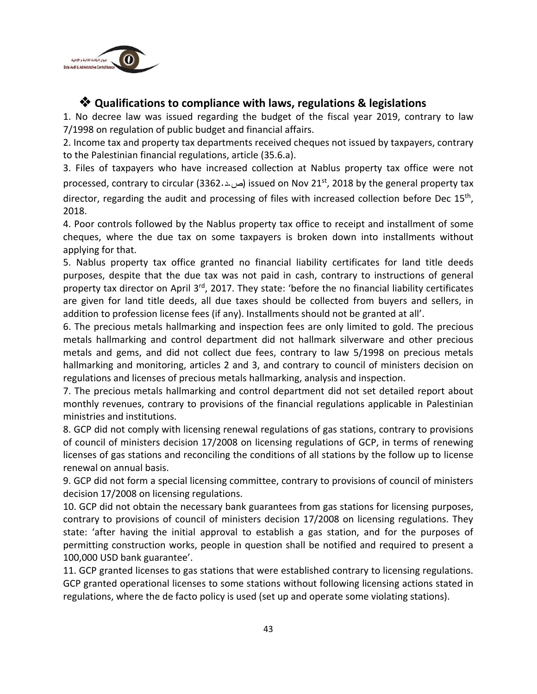

## ❖ **Qualifications to compliance with laws, regulations & legislations**

1. No decree law was issued regarding the budget of the fiscal year 2019, contrary to law 7/1998 on regulation of public budget and financial affairs.

2. Income tax and property tax departments received cheques not issued by taxpayers, contrary to the Palestinian financial regulations, article (35.6.a).

3. Files of taxpayers who have increased collection at Nablus property tax office were not processed, contrary to circular (3362.د.) issued on Nov 21st, 2018 by the general property tax director, regarding the audit and processing of files with increased collection before Dec 15<sup>th</sup>, 2018.

4. Poor controls followed by the Nablus property tax office to receipt and installment of some cheques, where the due tax on some taxpayers is broken down into installments without applying for that.

5. Nablus property tax office granted no financial liability certificates for land title deeds purposes, despite that the due tax was not paid in cash, contrary to instructions of general property tax director on April 3<sup>rd</sup>, 2017. They state: 'before the no financial liability certificates are given for land title deeds, all due taxes should be collected from buyers and sellers, in addition to profession license fees (if any). Installments should not be granted at all'.

6. The precious metals hallmarking and inspection fees are only limited to gold. The precious metals hallmarking and control department did not hallmark silverware and other precious metals and gems, and did not collect due fees, contrary to law 5/1998 on precious metals hallmarking and monitoring, articles 2 and 3, and contrary to council of ministers decision on regulations and licenses of precious metals hallmarking, analysis and inspection.

7. The precious metals hallmarking and control department did not set detailed report about monthly revenues, contrary to provisions of the financial regulations applicable in Palestinian ministries and institutions.

8. GCP did not comply with licensing renewal regulations of gas stations, contrary to provisions of council of ministers decision 17/2008 on licensing regulations of GCP, in terms of renewing licenses of gas stations and reconciling the conditions of all stations by the follow up to license renewal on annual basis.

9. GCP did not form a special licensing committee, contrary to provisions of council of ministers decision 17/2008 on licensing regulations.

10. GCP did not obtain the necessary bank guarantees from gas stations for licensing purposes, contrary to provisions of council of ministers decision 17/2008 on licensing regulations. They state: 'after having the initial approval to establish a gas station, and for the purposes of permitting construction works, people in question shall be notified and required to present a 100,000 USD bank guarantee'.

11. GCP granted licenses to gas stations that were established contrary to licensing regulations. GCP granted operational licenses to some stations without following licensing actions stated in regulations, where the de facto policy is used (set up and operate some violating stations).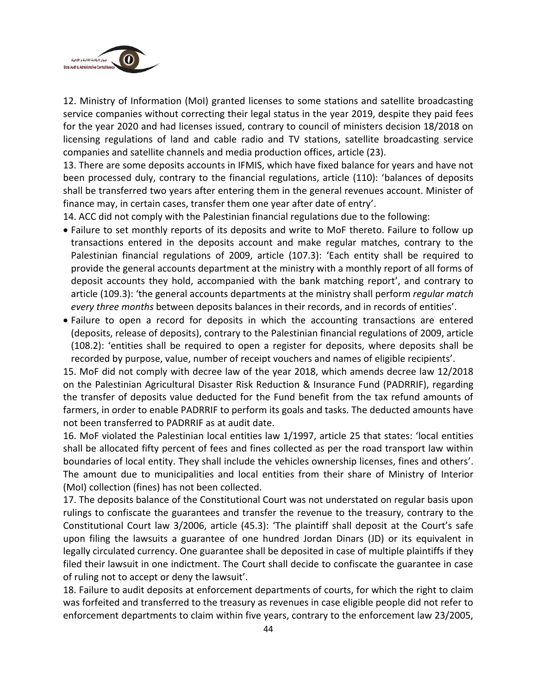

12. Ministry of Information (MoI) granted licenses to some stations and satellite broadcasting service companies without correcting their legal status in the year 2019, despite they paid fees for the year 2020 and had licenses issued, contrary to council of ministers decision 18/2018 on licensing regulations of land and cable radio and TV stations, satellite broadcasting service companies and satellite channels and media production offices, article (23).

13. There are some deposits accounts in IFMIS, which have fixed balance for years and have not been processed duly, contrary to the financial regulations, article (110): 'balances of deposits shall be transferred two years after entering them in the general revenues account. Minister of finance may, in certain cases, transfer them one year after date of entry'.

14. ACC did not comply with the Palestinian financial regulations due to the following:

- Failure to set monthly reports of its deposits and write to MoF thereto. Failure to follow up transactions entered in the deposits account and make regular matches, contrary to the Palestinian financial regulations of 2009, article (107.3): 'Each entity shall be required to provide the general accounts department at the ministry with a monthly report of all forms of deposit accounts they hold, accompanied with the bank matching report', and contrary to article (109.3): 'the general accounts departments at the ministry shall perform *regular match every three months* between deposits balances in their records, and in records of entities'.
- Failure to open a record for deposits in which the accounting transactions are entered (deposits, release of deposits), contrary to the Palestinian financial regulations of 2009, article (108.2): 'entities shall be required to open a register for deposits, where deposits shall be recorded by purpose, value, number of receipt vouchers and names of eligible recipients'.

15. MoF did not comply with decree law of the year 2018, which amends decree law 12/2018 on the Palestinian Agricultural Disaster Risk Reduction & Insurance Fund (PADRRIF), regarding the transfer of deposits value deducted for the Fund benefit from the tax refund amounts of farmers, in order to enable PADRRIF to perform its goals and tasks. The deducted amounts have not been transferred to PADRRIF as at audit date.

16. MoF violated the Palestinian local entities law 1/1997, article 25 that states: 'local entities shall be allocated fifty percent of fees and fines collected as per the road transport law within boundaries of local entity. They shall include the vehicles ownership licenses, fines and others'. The amount due to municipalities and local entities from their share of Ministry of Interior (MoI) collection (fines) has not been collected.

17. The deposits balance of the Constitutional Court was not understated on regular basis upon rulings to confiscate the guarantees and transfer the revenue to the treasury, contrary to the Constitutional Court law 3/2006, article (45.3): 'The plaintiff shall deposit at the Court's safe upon filing the lawsuits a guarantee of one hundred Jordan Dinars (JD) or its equivalent in legally circulated currency. One guarantee shall be deposited in case of multiple plaintiffs if they filed their lawsuit in one indictment. The Court shall decide to confiscate the guarantee in case of ruling not to accept or deny the lawsuit'.

18. Failure to audit deposits at enforcement departments of courts, for which the right to claim was forfeited and transferred to the treasury as revenues in case eligible people did not refer to enforcement departments to claim within five years, contrary to the enforcement law 23/2005,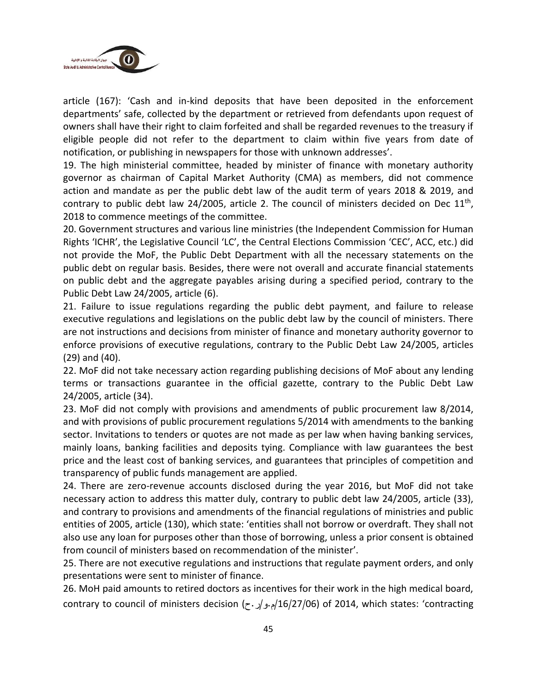

article (167): 'Cash and in-kind deposits that have been deposited in the enforcement departments' safe, collected by the department or retrieved from defendants upon request of owners shall have their right to claim forfeited and shall be regarded revenues to the treasury if eligible people did not refer to the department to claim within five years from date of notification, or publishing in newspapers for those with unknown addresses'.

19. The high ministerial committee, headed by minister of finance with monetary authority governor as chairman of Capital Market Authority (CMA) as members, did not commence action and mandate as per the public debt law of the audit term of years 2018 & 2019, and contrary to public debt law 24/2005, article 2. The council of ministers decided on Dec  $11<sup>th</sup>$ , 2018 to commence meetings of the committee.

20. Government structures and various line ministries (the Independent Commission for Human Rights 'ICHR', the Legislative Council 'LC', the Central Elections Commission 'CEC', ACC, etc.) did not provide the MoF, the Public Debt Department with all the necessary statements on the public debt on regular basis. Besides, there were not overall and accurate financial statements on public debt and the aggregate payables arising during a specified period, contrary to the Public Debt Law 24/2005, article (6).

21. Failure to issue regulations regarding the public debt payment, and failure to release executive regulations and legislations on the public debt law by the council of ministers. There are not instructions and decisions from minister of finance and monetary authority governor to enforce provisions of executive regulations, contrary to the Public Debt Law 24/2005, articles (29) and (40).

22. MoF did not take necessary action regarding publishing decisions of MoF about any lending terms or transactions guarantee in the official gazette, contrary to the Public Debt Law 24/2005, article (34).

23. MoF did not comply with provisions and amendments of public procurement law 8/2014, and with provisions of public procurement regulations 5/2014 with amendments to the banking sector. Invitations to tenders or quotes are not made as per law when having banking services, mainly loans, banking facilities and deposits tying. Compliance with law guarantees the best price and the least cost of banking services, and guarantees that principles of competition and transparency of public funds management are applied.

24. There are zero-revenue accounts disclosed during the year 2016, but MoF did not take necessary action to address this matter duly, contrary to public debt law 24/2005, article (33), and contrary to provisions and amendments of the financial regulations of ministries and public entities of 2005, article (130), which state: 'entities shall not borrow or overdraft. They shall not also use any loan for purposes other than those of borrowing, unless a prior consent is obtained from council of ministers based on recommendation of the minister'.

25. There are not executive regulations and instructions that regulate payment orders, and only presentations were sent to minister of finance.

26. MoH paid amounts to retired doctors as incentives for their work in the high medical board, contrary to council of ministers decision (م.و/ر.ح)  $\frac{16}{27/06}$  of 2014, which states: 'contracting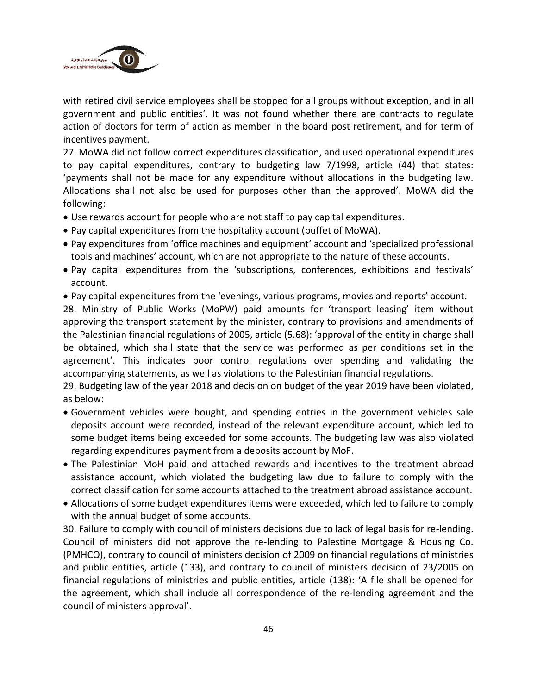

with retired civil service employees shall be stopped for all groups without exception, and in all government and public entities'. It was not found whether there are contracts to regulate action of doctors for term of action as member in the board post retirement, and for term of incentives payment.

27. MoWA did not follow correct expenditures classification, and used operational expenditures to pay capital expenditures, contrary to budgeting law 7/1998, article (44) that states: 'payments shall not be made for any expenditure without allocations in the budgeting law. Allocations shall not also be used for purposes other than the approved'. MoWA did the following:

- Use rewards account for people who are not staff to pay capital expenditures.
- Pay capital expenditures from the hospitality account (buffet of MoWA).
- Pay expenditures from 'office machines and equipment' account and 'specialized professional tools and machines' account, which are not appropriate to the nature of these accounts.
- Pay capital expenditures from the 'subscriptions, conferences, exhibitions and festivals' account.
- Pay capital expenditures from the 'evenings, various programs, movies and reports' account.

28. Ministry of Public Works (MoPW) paid amounts for 'transport leasing' item without approving the transport statement by the minister, contrary to provisions and amendments of the Palestinian financial regulations of 2005, article (5.68): 'approval of the entity in charge shall be obtained, which shall state that the service was performed as per conditions set in the agreement'. This indicates poor control regulations over spending and validating the accompanying statements, as well as violations to the Palestinian financial regulations.

29. Budgeting law of the year 2018 and decision on budget of the year 2019 have been violated, as below:

- Government vehicles were bought, and spending entries in the government vehicles sale deposits account were recorded, instead of the relevant expenditure account, which led to some budget items being exceeded for some accounts. The budgeting law was also violated regarding expenditures payment from a deposits account by MoF.
- The Palestinian MoH paid and attached rewards and incentives to the treatment abroad assistance account, which violated the budgeting law due to failure to comply with the correct classification for some accounts attached to the treatment abroad assistance account.
- Allocations of some budget expenditures items were exceeded, which led to failure to comply with the annual budget of some accounts.

30. Failure to comply with council of ministers decisions due to lack of legal basis for re-lending. Council of ministers did not approve the re-lending to Palestine Mortgage & Housing Co. (PMHCO), contrary to council of ministers decision of 2009 on financial regulations of ministries and public entities, article (133), and contrary to council of ministers decision of 23/2005 on financial regulations of ministries and public entities, article (138): 'A file shall be opened for the agreement, which shall include all correspondence of the re-lending agreement and the council of ministers approval'.